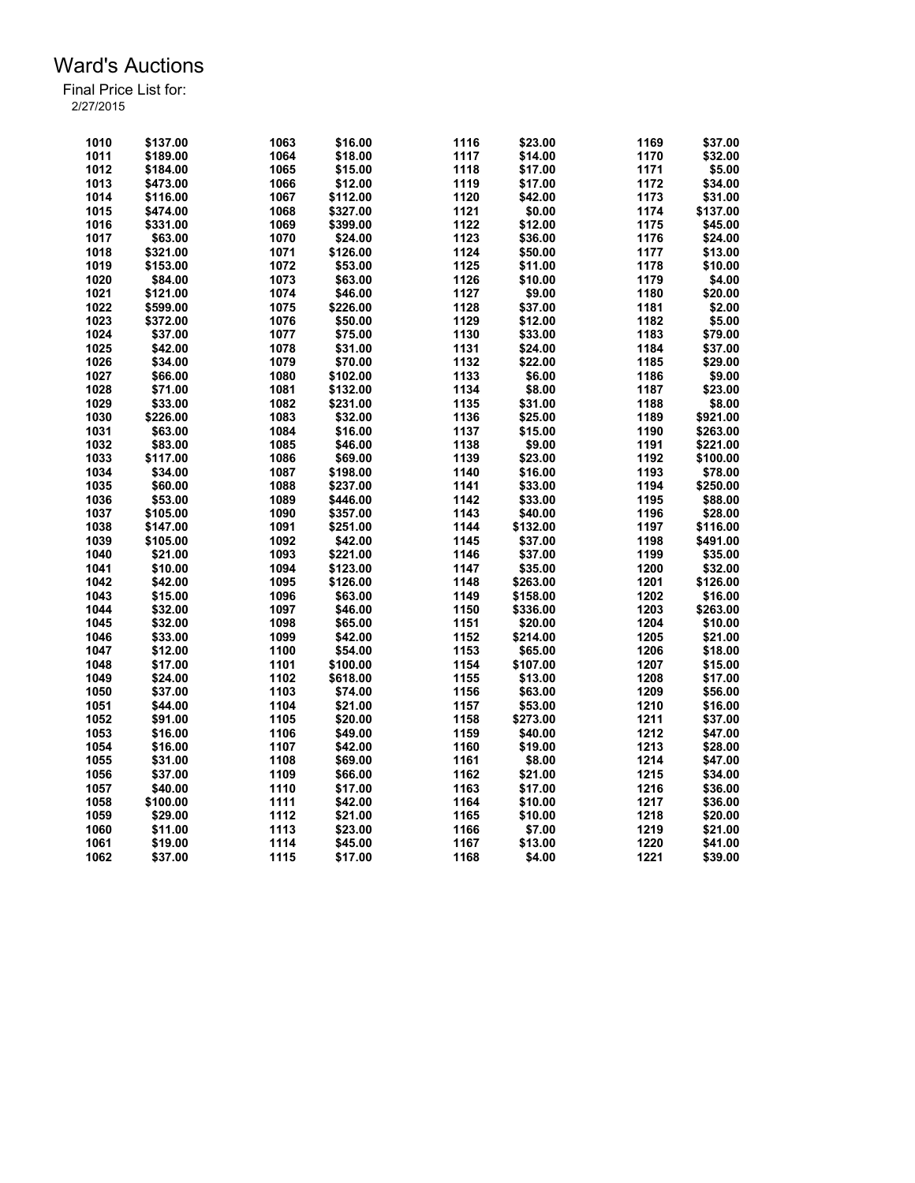| 1010 | \$137.00 | 1063 | \$16.00  | 1116 | \$23.00  | 1169 | \$37.00  |
|------|----------|------|----------|------|----------|------|----------|
| 1011 | \$189.00 | 1064 | \$18.00  | 1117 | \$14.00  | 1170 | \$32.00  |
| 1012 | \$184.00 | 1065 | \$15.00  | 1118 | \$17.00  | 1171 | \$5.00   |
| 1013 | \$473.00 | 1066 | \$12.00  | 1119 | \$17.00  | 1172 | \$34.00  |
| 1014 | \$116.00 | 1067 | \$112.00 | 1120 | \$42.00  | 1173 | \$31.00  |
| 1015 | \$474.00 | 1068 | \$327.00 | 1121 | \$0.00   | 1174 | \$137.00 |
| 1016 | \$331.00 | 1069 | \$399.00 | 1122 | \$12.00  | 1175 | \$45.00  |
| 1017 | \$63.00  | 1070 | \$24.00  | 1123 | \$36.00  | 1176 | \$24.00  |
| 1018 | \$321.00 | 1071 | \$126.00 | 1124 | \$50.00  | 1177 | \$13.00  |
| 1019 | \$153.00 | 1072 | \$53.00  | 1125 | \$11.00  | 1178 | \$10.00  |
| 1020 | \$84.00  | 1073 | \$63.00  | 1126 | \$10.00  | 1179 | \$4.00   |
| 1021 | \$121.00 | 1074 | \$46.00  | 1127 | \$9.00   | 1180 | \$20.00  |
| 1022 | \$599.00 | 1075 | \$226.00 | 1128 | \$37.00  | 1181 | \$2.00   |
| 1023 | \$372.00 | 1076 | \$50.00  | 1129 | \$12.00  | 1182 | \$5.00   |
| 1024 | \$37.00  | 1077 | \$75.00  | 1130 | \$33.00  | 1183 | \$79.00  |
| 1025 | \$42.00  | 1078 | \$31.00  | 1131 | \$24.00  | 1184 | \$37.00  |
| 1026 | \$34.00  | 1079 | \$70.00  | 1132 | \$22.00  | 1185 | \$29.00  |
| 1027 | \$66.00  | 1080 | \$102.00 | 1133 | \$6.00   | 1186 | \$9.00   |
| 1028 | \$71.00  | 1081 | \$132.00 | 1134 | \$8.00   | 1187 | \$23.00  |
| 1029 |          | 1082 |          | 1135 | \$31.00  | 1188 | \$8.00   |
|      | \$33.00  |      | \$231.00 | 1136 |          | 1189 |          |
| 1030 | \$226.00 | 1083 | \$32.00  | 1137 | \$25.00  | 1190 | \$921.00 |
| 1031 | \$63.00  | 1084 | \$16.00  |      | \$15.00  |      | \$263.00 |
| 1032 | \$83.00  | 1085 | \$46.00  | 1138 | \$9.00   | 1191 | \$221.00 |
| 1033 | \$117.00 | 1086 | \$69.00  | 1139 | \$23.00  | 1192 | \$100.00 |
| 1034 | \$34.00  | 1087 | \$198.00 | 1140 | \$16.00  | 1193 | \$78.00  |
| 1035 | \$60.00  | 1088 | \$237.00 | 1141 | \$33.00  | 1194 | \$250.00 |
| 1036 | \$53.00  | 1089 | \$446.00 | 1142 | \$33.00  | 1195 | \$88.00  |
| 1037 | \$105.00 | 1090 | \$357.00 | 1143 | \$40.00  | 1196 | \$28.00  |
| 1038 | \$147.00 | 1091 | \$251.00 | 1144 | \$132.00 | 1197 | \$116.00 |
| 1039 | \$105.00 | 1092 | \$42.00  | 1145 | \$37.00  | 1198 | \$491.00 |
| 1040 | \$21.00  | 1093 | \$221.00 | 1146 | \$37.00  | 1199 | \$35.00  |
| 1041 | \$10.00  | 1094 | \$123.00 | 1147 | \$35.00  | 1200 | \$32.00  |
| 1042 | \$42.00  | 1095 | \$126.00 | 1148 | \$263.00 | 1201 | \$126.00 |
| 1043 | \$15.00  | 1096 | \$63.00  | 1149 | \$158.00 | 1202 | \$16.00  |
| 1044 | \$32.00  | 1097 | \$46.00  | 1150 | \$336.00 | 1203 | \$263.00 |
| 1045 | \$32.00  | 1098 | \$65.00  | 1151 | \$20.00  | 1204 | \$10.00  |
| 1046 | \$33.00  | 1099 | \$42.00  | 1152 | \$214.00 | 1205 | \$21.00  |
| 1047 | \$12.00  | 1100 | \$54.00  | 1153 | \$65.00  | 1206 | \$18.00  |
| 1048 | \$17.00  | 1101 | \$100.00 | 1154 | \$107.00 | 1207 | \$15.00  |
| 1049 | \$24.00  | 1102 | \$618.00 | 1155 | \$13.00  | 1208 | \$17.00  |
| 1050 | \$37.00  | 1103 | \$74.00  | 1156 | \$63.00  | 1209 | \$56.00  |
| 1051 | \$44.00  | 1104 | \$21.00  | 1157 | \$53.00  | 1210 | \$16.00  |
| 1052 | \$91.00  | 1105 | \$20.00  | 1158 | \$273.00 | 1211 | \$37.00  |
| 1053 | \$16.00  | 1106 | \$49.00  | 1159 | \$40.00  | 1212 | \$47.00  |
| 1054 | \$16.00  | 1107 | \$42.00  | 1160 | \$19.00  | 1213 | \$28.00  |
| 1055 | \$31.00  | 1108 | \$69.00  | 1161 | \$8.00   | 1214 | \$47.00  |
| 1056 | \$37.00  | 1109 | \$66.00  | 1162 | \$21.00  | 1215 | \$34.00  |
| 1057 | \$40.00  | 1110 | \$17.00  | 1163 | \$17.00  | 1216 | \$36.00  |
| 1058 | \$100.00 | 1111 | \$42.00  | 1164 | \$10.00  | 1217 | \$36.00  |
| 1059 | \$29.00  | 1112 | \$21.00  | 1165 | \$10.00  | 1218 | \$20.00  |
| 1060 | \$11.00  | 1113 | \$23.00  | 1166 | \$7.00   | 1219 | \$21.00  |
| 1061 | \$19.00  | 1114 | \$45.00  | 1167 | \$13.00  | 1220 | \$41.00  |
| 1062 | \$37.00  | 1115 | \$17.00  | 1168 | \$4.00   | 1221 | \$39.00  |
|      |          |      |          |      |          |      |          |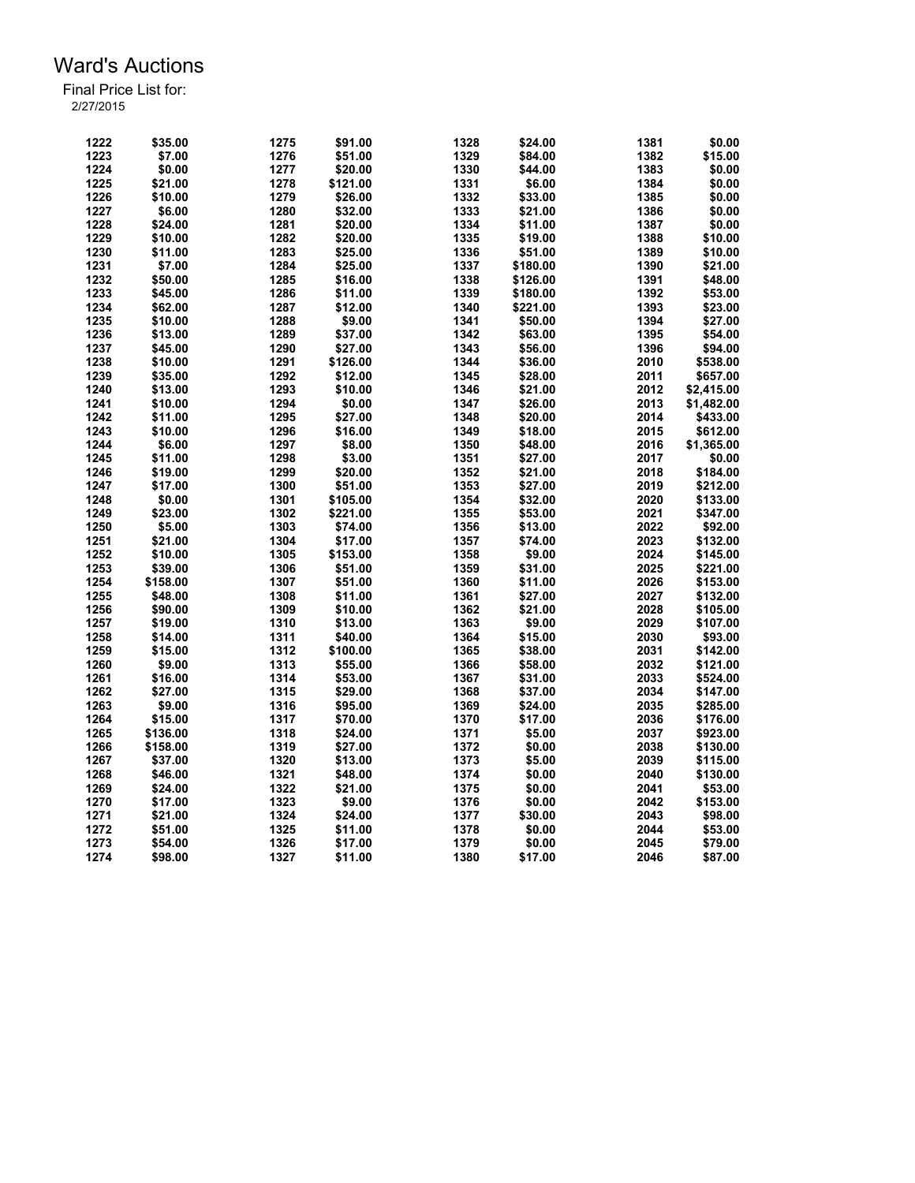| 1222 | \$35.00  | 1275 | \$91.00  | 1328 | \$24.00  | 1381 | \$0.00     |
|------|----------|------|----------|------|----------|------|------------|
| 1223 | \$7.00   | 1276 | \$51.00  | 1329 | \$84.00  | 1382 | \$15.00    |
| 1224 | \$0.00   | 1277 | \$20.00  | 1330 | \$44.00  | 1383 | \$0.00     |
| 1225 | \$21.00  | 1278 | \$121.00 | 1331 | \$6.00   | 1384 | \$0.00     |
| 1226 | \$10.00  | 1279 | \$26.00  | 1332 | \$33.00  | 1385 | \$0.00     |
| 1227 | \$6.00   | 1280 | \$32.00  | 1333 | \$21.00  | 1386 | \$0.00     |
| 1228 | \$24.00  | 1281 | \$20.00  | 1334 | \$11.00  | 1387 | \$0.00     |
| 1229 | \$10.00  | 1282 | \$20.00  | 1335 | \$19.00  | 1388 | \$10.00    |
| 1230 | \$11.00  | 1283 | \$25.00  | 1336 | \$51.00  | 1389 | \$10.00    |
| 1231 | \$7.00   | 1284 | \$25.00  | 1337 | \$180.00 | 1390 | \$21.00    |
| 1232 | \$50.00  | 1285 | \$16.00  | 1338 | \$126.00 | 1391 | \$48.00    |
| 1233 | \$45.00  | 1286 | \$11.00  | 1339 | \$180.00 | 1392 | \$53.00    |
| 1234 | \$62.00  | 1287 | \$12.00  | 1340 | \$221.00 | 1393 | \$23.00    |
| 1235 | \$10.00  | 1288 | \$9.00   | 1341 | \$50.00  | 1394 | \$27.00    |
| 1236 | \$13.00  | 1289 | \$37.00  | 1342 | \$63.00  | 1395 | \$54.00    |
| 1237 | \$45.00  | 1290 | \$27.00  | 1343 | \$56.00  | 1396 | \$94.00    |
| 1238 | \$10.00  | 1291 | \$126.00 | 1344 | \$36.00  | 2010 | \$538.00   |
| 1239 | \$35.00  | 1292 | \$12.00  | 1345 | \$28.00  | 2011 | \$657.00   |
| 1240 | \$13.00  | 1293 | \$10.00  | 1346 | \$21.00  | 2012 | \$2,415.00 |
| 1241 | \$10.00  | 1294 | \$0.00   | 1347 | \$26.00  | 2013 |            |
|      |          |      |          |      |          |      | \$1,482.00 |
| 1242 | \$11.00  | 1295 | \$27.00  | 1348 | \$20.00  | 2014 | \$433.00   |
| 1243 | \$10.00  | 1296 | \$16.00  | 1349 | \$18.00  | 2015 | \$612.00   |
| 1244 | \$6.00   | 1297 | \$8.00   | 1350 | \$48.00  | 2016 | \$1,365.00 |
| 1245 | \$11.00  | 1298 | \$3.00   | 1351 | \$27.00  | 2017 | \$0.00     |
| 1246 | \$19.00  | 1299 | \$20.00  | 1352 | \$21.00  | 2018 | \$184.00   |
| 1247 | \$17.00  | 1300 | \$51.00  | 1353 | \$27.00  | 2019 | \$212.00   |
| 1248 | \$0.00   | 1301 | \$105.00 | 1354 | \$32.00  | 2020 | \$133.00   |
| 1249 | \$23.00  | 1302 | \$221.00 | 1355 | \$53.00  | 2021 | \$347.00   |
| 1250 | \$5.00   | 1303 | \$74.00  | 1356 | \$13.00  | 2022 | \$92.00    |
| 1251 | \$21.00  | 1304 | \$17.00  | 1357 | \$74.00  | 2023 | \$132.00   |
| 1252 | \$10.00  | 1305 | \$153.00 | 1358 | \$9.00   | 2024 | \$145.00   |
| 1253 | \$39.00  | 1306 | \$51.00  | 1359 | \$31.00  | 2025 | \$221.00   |
| 1254 | \$158.00 | 1307 | \$51.00  | 1360 | \$11.00  | 2026 | \$153.00   |
| 1255 | \$48.00  | 1308 | \$11.00  | 1361 | \$27.00  | 2027 | \$132.00   |
| 1256 | \$90.00  | 1309 | \$10.00  | 1362 | \$21.00  | 2028 | \$105.00   |
| 1257 | \$19.00  | 1310 | \$13.00  | 1363 | \$9.00   | 2029 | \$107.00   |
| 1258 | \$14.00  | 1311 | \$40.00  | 1364 | \$15.00  | 2030 | \$93.00    |
| 1259 | \$15.00  | 1312 | \$100.00 | 1365 | \$38.00  | 2031 | \$142.00   |
| 1260 | \$9.00   | 1313 | \$55.00  | 1366 | \$58.00  | 2032 | \$121.00   |
| 1261 | \$16.00  | 1314 | \$53.00  | 1367 | \$31.00  | 2033 | \$524.00   |
| 1262 | \$27.00  | 1315 | \$29.00  | 1368 | \$37.00  | 2034 | \$147.00   |
| 1263 | \$9.00   | 1316 | \$95.00  | 1369 | \$24.00  | 2035 | \$285.00   |
| 1264 | \$15.00  | 1317 | \$70.00  | 1370 | \$17.00  | 2036 | \$176.00   |
| 1265 | \$136.00 | 1318 | \$24.00  | 1371 | \$5.00   | 2037 | \$923.00   |
| 1266 | \$158.00 | 1319 | \$27.00  | 1372 | \$0.00   | 2038 | \$130.00   |
|      |          |      |          |      |          |      |            |
| 1267 | \$37.00  | 1320 | \$13.00  | 1373 | \$5.00   | 2039 | \$115.00   |
| 1268 | \$46.00  | 1321 | \$48.00  | 1374 | \$0.00   | 2040 | \$130.00   |
| 1269 | \$24.00  | 1322 | \$21.00  | 1375 | \$0.00   | 2041 | \$53.00    |
| 1270 | \$17.00  | 1323 | \$9.00   | 1376 | \$0.00   | 2042 | \$153.00   |
| 1271 | \$21.00  | 1324 | \$24.00  | 1377 | \$30.00  | 2043 | \$98.00    |
| 1272 | \$51.00  | 1325 | \$11.00  | 1378 | \$0.00   | 2044 | \$53.00    |
| 1273 | \$54.00  | 1326 | \$17.00  | 1379 | \$0.00   | 2045 | \$79.00    |
| 1274 | \$98.00  | 1327 | \$11.00  | 1380 | \$17.00  | 2046 | \$87.00    |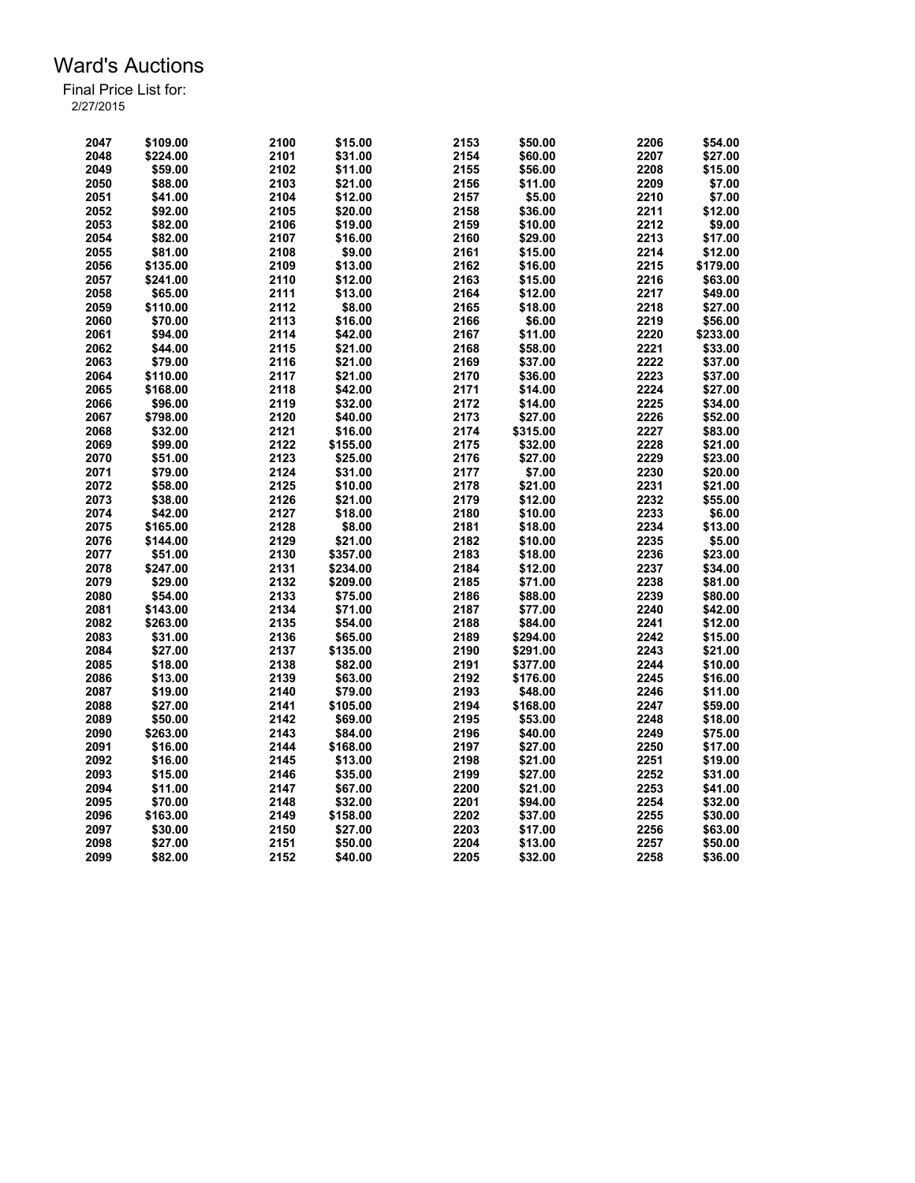| 2047 | \$109.00 | 2100 | \$15.00  | 2153 | \$50.00  | 2206 | \$54.00  |
|------|----------|------|----------|------|----------|------|----------|
| 2048 | \$224.00 | 2101 | \$31.00  | 2154 | \$60.00  | 2207 | \$27.00  |
| 2049 | \$59.00  | 2102 | \$11.00  | 2155 | \$56.00  | 2208 | \$15.00  |
| 2050 | \$88.00  | 2103 | \$21.00  | 2156 | \$11.00  | 2209 | \$7.00   |
| 2051 | \$41.00  | 2104 | \$12.00  | 2157 | \$5.00   | 2210 | \$7.00   |
| 2052 | \$92.00  | 2105 | \$20.00  | 2158 | \$36.00  | 2211 | \$12.00  |
| 2053 | \$82.00  | 2106 | \$19.00  | 2159 | \$10.00  | 2212 | \$9.00   |
| 2054 | \$82.00  | 2107 | \$16.00  | 2160 | \$29.00  | 2213 | \$17.00  |
| 2055 | \$81.00  | 2108 | \$9.00   | 2161 | \$15.00  | 2214 | \$12.00  |
| 2056 | \$135.00 | 2109 | \$13.00  | 2162 | \$16.00  | 2215 | \$179.00 |
| 2057 | \$241.00 | 2110 | \$12.00  | 2163 | \$15.00  | 2216 | \$63.00  |
| 2058 | \$65.00  | 2111 | \$13.00  | 2164 | \$12.00  | 2217 | \$49.00  |
| 2059 | \$110.00 | 2112 | \$8.00   | 2165 | \$18.00  | 2218 | \$27.00  |
| 2060 | \$70.00  | 2113 | \$16.00  | 2166 | \$6.00   | 2219 | \$56.00  |
| 2061 | \$94.00  | 2114 | \$42.00  | 2167 | \$11.00  | 2220 | \$233.00 |
| 2062 | \$44.00  | 2115 | \$21.00  | 2168 | \$58.00  | 2221 | \$33.00  |
| 2063 | \$79.00  | 2116 | \$21.00  | 2169 | \$37.00  | 2222 | \$37.00  |
| 2064 |          | 2117 | \$21.00  | 2170 |          |      |          |
|      | \$110.00 |      |          |      | \$36.00  | 2223 | \$37.00  |
| 2065 | \$168.00 | 2118 | \$42.00  | 2171 | \$14.00  | 2224 | \$27.00  |
| 2066 | \$96.00  | 2119 | \$32.00  | 2172 | \$14.00  | 2225 | \$34.00  |
| 2067 | \$798.00 | 2120 | \$40.00  | 2173 | \$27.00  | 2226 | \$52.00  |
| 2068 | \$32.00  | 2121 | \$16.00  | 2174 | \$315.00 | 2227 | \$83.00  |
| 2069 | \$99.00  | 2122 | \$155.00 | 2175 | \$32.00  | 2228 | \$21.00  |
| 2070 | \$51.00  | 2123 | \$25.00  | 2176 | \$27.00  | 2229 | \$23.00  |
| 2071 | \$79.00  | 2124 | \$31.00  | 2177 | \$7.00   | 2230 | \$20.00  |
| 2072 | \$58.00  | 2125 | \$10.00  | 2178 | \$21.00  | 2231 | \$21.00  |
| 2073 | \$38.00  | 2126 | \$21.00  | 2179 | \$12.00  | 2232 | \$55.00  |
| 2074 | \$42.00  | 2127 | \$18.00  | 2180 | \$10.00  | 2233 | \$6.00   |
| 2075 | \$165.00 | 2128 | \$8.00   | 2181 | \$18.00  | 2234 | \$13.00  |
| 2076 | \$144.00 | 2129 | \$21.00  | 2182 | \$10.00  | 2235 | \$5.00   |
| 2077 | \$51.00  | 2130 | \$357.00 | 2183 | \$18.00  | 2236 | \$23.00  |
| 2078 | \$247.00 | 2131 | \$234.00 | 2184 | \$12.00  | 2237 | \$34.00  |
| 2079 | \$29.00  | 2132 | \$209.00 | 2185 | \$71.00  | 2238 | \$81.00  |
| 2080 | \$54.00  | 2133 | \$75.00  | 2186 | \$88.00  | 2239 | \$80.00  |
| 2081 | \$143.00 | 2134 | \$71.00  | 2187 | \$77.00  | 2240 | \$42.00  |
| 2082 | \$263.00 | 2135 | \$54.00  | 2188 | \$84.00  | 2241 | \$12.00  |
| 2083 | \$31.00  | 2136 | \$65.00  | 2189 | \$294.00 | 2242 | \$15.00  |
| 2084 | \$27.00  | 2137 | \$135.00 | 2190 | \$291.00 | 2243 | \$21.00  |
| 2085 | \$18.00  | 2138 | \$82.00  | 2191 | \$377.00 | 2244 | \$10.00  |
| 2086 | \$13.00  | 2139 | \$63.00  | 2192 | \$176.00 | 2245 | \$16.00  |
| 2087 | \$19.00  | 2140 | \$79.00  | 2193 | \$48.00  | 2246 | \$11.00  |
| 2088 | \$27.00  | 2141 | \$105.00 | 2194 | \$168.00 | 2247 | \$59.00  |
| 2089 | \$50.00  | 2142 | \$69.00  | 2195 | \$53.00  | 2248 | \$18.00  |
| 2090 | \$263.00 | 2143 | \$84.00  | 2196 | \$40.00  | 2249 | \$75.00  |
|      |          |      |          |      |          |      |          |
| 2091 | \$16.00  | 2144 | \$168.00 | 2197 | \$27.00  | 2250 | \$17.00  |
| 2092 | \$16.00  | 2145 | \$13.00  | 2198 | \$21.00  | 2251 | \$19.00  |
| 2093 | \$15.00  | 2146 | \$35.00  | 2199 | \$27.00  | 2252 | \$31.00  |
| 2094 | \$11.00  | 2147 | \$67.00  | 2200 | \$21.00  | 2253 | \$41.00  |
| 2095 | \$70.00  | 2148 | \$32.00  | 2201 | \$94.00  | 2254 | \$32.00  |
| 2096 | \$163.00 | 2149 | \$158.00 | 2202 | \$37.00  | 2255 | \$30.00  |
| 2097 | \$30.00  | 2150 | \$27.00  | 2203 | \$17.00  | 2256 | \$63.00  |
| 2098 | \$27.00  | 2151 | \$50.00  | 2204 | \$13.00  | 2257 | \$50.00  |
| 2099 | \$82.00  | 2152 | \$40.00  | 2205 | \$32.00  | 2258 | \$36.00  |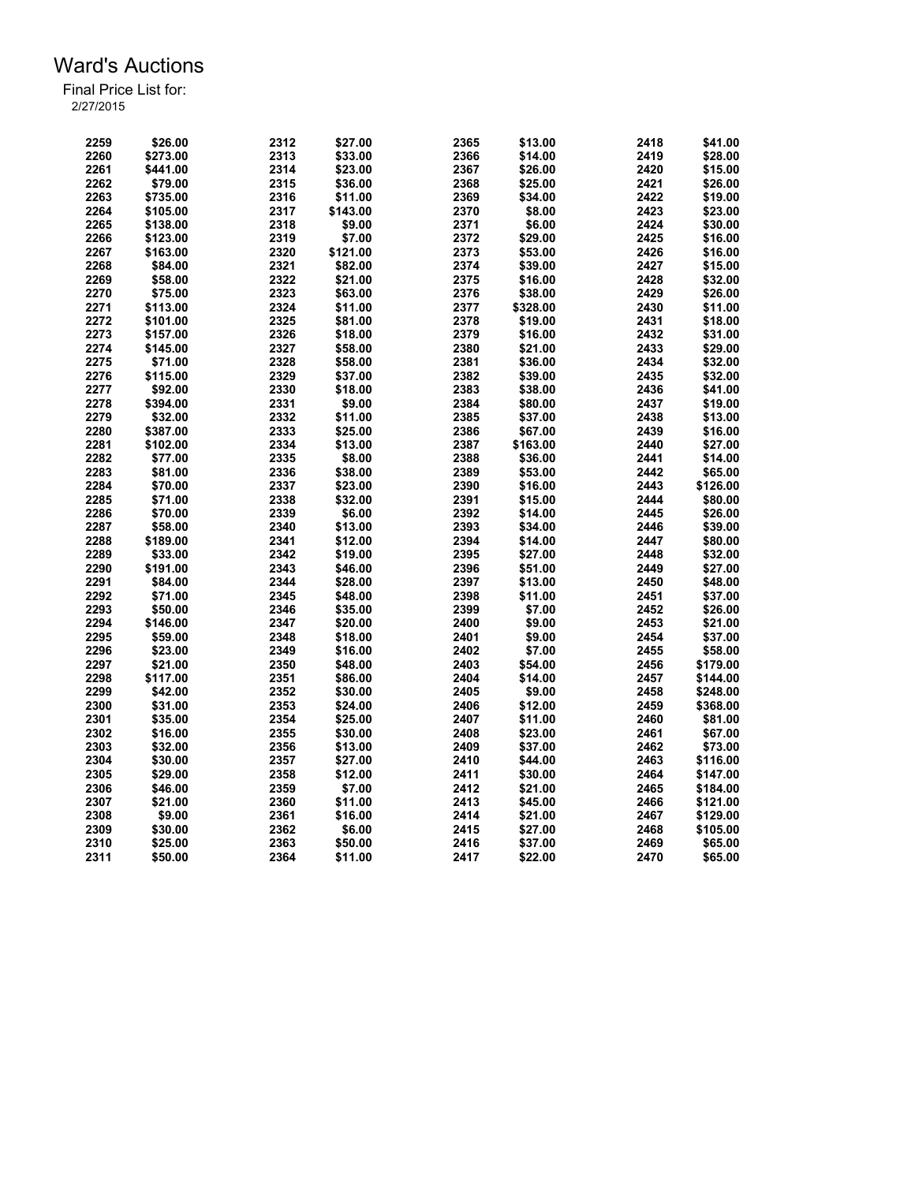| 2259         | \$26.00  | 2312         | \$27.00  | 2365         | \$13.00  | 2418         | \$41.00  |
|--------------|----------|--------------|----------|--------------|----------|--------------|----------|
| 2260         | \$273.00 | 2313         | \$33.00  | 2366         | \$14.00  | 2419         | \$28.00  |
| 2261         | \$441.00 | 2314         | \$23.00  | 2367         | \$26.00  | 2420         | \$15.00  |
| 2262         | \$79.00  | 2315         | \$36.00  | 2368         | \$25.00  | 2421         | \$26.00  |
| 2263         | \$735.00 | 2316         | \$11.00  | 2369         | \$34.00  | 2422         | \$19.00  |
| 2264         | \$105.00 | 2317         | \$143.00 | 2370         | \$8.00   | 2423         | \$23.00  |
| 2265         | \$138.00 | 2318         | \$9.00   | 2371         | \$6.00   | 2424         | \$30.00  |
| 2266         | \$123.00 | 2319         | \$7.00   | 2372         | \$29.00  | 2425         | \$16.00  |
| 2267         | \$163.00 | 2320         | \$121.00 | 2373         | \$53.00  | 2426         | \$16.00  |
| 2268         | \$84.00  | 2321         | \$82.00  | 2374         | \$39.00  | 2427         | \$15.00  |
| 2269         | \$58.00  | 2322         | \$21.00  | 2375         | \$16.00  | 2428         | \$32.00  |
| 2270         | \$75.00  | 2323         | \$63.00  | 2376         | \$38.00  | 2429         | \$26.00  |
| 2271         | \$113.00 | 2324         | \$11.00  | 2377         | \$328.00 | 2430         | \$11.00  |
| 2272         | \$101.00 | 2325         | \$81.00  | 2378         | \$19.00  | 2431         | \$18.00  |
| 2273         | \$157.00 | 2326         | \$18.00  | 2379         | \$16.00  | 2432         | \$31.00  |
| 2274         | \$145.00 | 2327         | \$58.00  | 2380         | \$21.00  | 2433         | \$29.00  |
| 2275         | \$71.00  | 2328         | \$58.00  | 2381         | \$36.00  | 2434         | \$32.00  |
| 2276         | \$115.00 | 2329         | \$37.00  | 2382         | \$39.00  | 2435         | \$32.00  |
|              |          |              |          |              |          |              |          |
| 2277<br>2278 | \$92.00  | 2330<br>2331 | \$18.00  | 2383<br>2384 | \$38.00  | 2436<br>2437 | \$41.00  |
|              | \$394.00 |              | \$9.00   |              | \$80.00  |              | \$19.00  |
| 2279         | \$32.00  | 2332         | \$11.00  | 2385         | \$37.00  | 2438         | \$13.00  |
| 2280         | \$387.00 | 2333         | \$25.00  | 2386         | \$67.00  | 2439         | \$16.00  |
| 2281         | \$102.00 | 2334         | \$13.00  | 2387         | \$163.00 | 2440         | \$27.00  |
| 2282         | \$77.00  | 2335         | \$8.00   | 2388         | \$36.00  | 2441         | \$14.00  |
| 2283         | \$81.00  | 2336         | \$38.00  | 2389         | \$53.00  | 2442         | \$65.00  |
| 2284         | \$70.00  | 2337         | \$23.00  | 2390         | \$16.00  | 2443         | \$126.00 |
| 2285         | \$71.00  | 2338         | \$32.00  | 2391         | \$15.00  | 2444         | \$80.00  |
| 2286         | \$70.00  | 2339         | \$6.00   | 2392         | \$14.00  | 2445         | \$26.00  |
| 2287         | \$58.00  | 2340         | \$13.00  | 2393         | \$34.00  | 2446         | \$39.00  |
| 2288         | \$189.00 | 2341         | \$12.00  | 2394         | \$14.00  | 2447         | \$80.00  |
| 2289         | \$33.00  | 2342         | \$19.00  | 2395         | \$27.00  | 2448         | \$32.00  |
| 2290         | \$191.00 | 2343         | \$46.00  | 2396         | \$51.00  | 2449         | \$27.00  |
| 2291         | \$84.00  | 2344         | \$28.00  | 2397         | \$13.00  | 2450         | \$48.00  |
| 2292         | \$71.00  | 2345         | \$48.00  | 2398         | \$11.00  | 2451         | \$37.00  |
| 2293         | \$50.00  | 2346         | \$35.00  | 2399         | \$7.00   | 2452         | \$26.00  |
| 2294         | \$146.00 | 2347         | \$20.00  | 2400         | \$9.00   | 2453         | \$21.00  |
| 2295         | \$59.00  | 2348         | \$18.00  | 2401         | \$9.00   | 2454         | \$37.00  |
| 2296         | \$23.00  | 2349         | \$16.00  | 2402         | \$7.00   | 2455         | \$58.00  |
| 2297         | \$21.00  | 2350         | \$48.00  | 2403         | \$54.00  | 2456         | \$179.00 |
| 2298         | \$117.00 | 2351         | \$86.00  | 2404         | \$14.00  | 2457         | \$144.00 |
| 2299         | \$42.00  | 2352         | \$30.00  | 2405         | \$9.00   | 2458         | \$248.00 |
| 2300         | \$31.00  | 2353         | \$24.00  | 2406         | \$12.00  | 2459         | \$368.00 |
| 2301         | \$35.00  | 2354         | \$25.00  | 2407         | \$11.00  | 2460         | \$81.00  |
| 2302         | \$16.00  | 2355         | \$30.00  | 2408         | \$23.00  | 2461         | \$67.00  |
| 2303         | \$32.00  | 2356         | \$13.00  | 2409         | \$37.00  | 2462         | \$73.00  |
| 2304         | \$30.00  | 2357         | \$27.00  | 2410         | \$44.00  | 2463         | \$116.00 |
| 2305         | \$29.00  | 2358         | \$12.00  | 2411         | \$30.00  | 2464         | \$147.00 |
| 2306         | \$46.00  | 2359         | \$7.00   | 2412         | \$21.00  | 2465         | \$184.00 |
| 2307         | \$21.00  | 2360         | \$11.00  | 2413         | \$45.00  | 2466         | \$121.00 |
| 2308         | \$9.00   | 2361         | \$16.00  | 2414         | \$21.00  | 2467         | \$129.00 |
| 2309         | \$30.00  | 2362         | \$6.00   | 2415         | \$27.00  | 2468         | \$105.00 |
| 2310         | \$25.00  | 2363         | \$50.00  | 2416         | \$37.00  | 2469         | \$65.00  |
| 2311         | \$50.00  | 2364         | \$11.00  | 2417         | \$22.00  | 2470         | \$65.00  |
|              |          |              |          |              |          |              |          |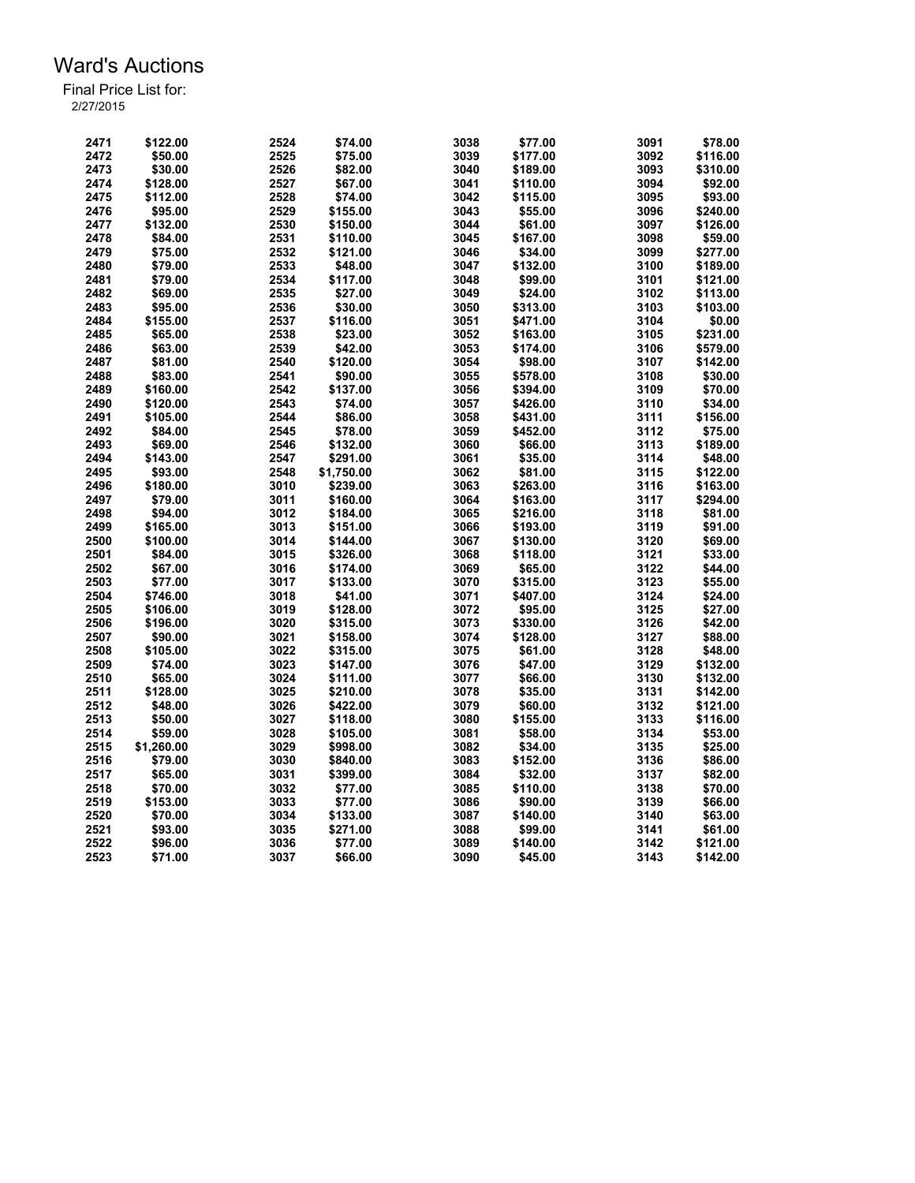| 2471         | \$122.00   | 2524         | \$74.00              | 3038         | \$77.00  | 3091         | \$78.00            |
|--------------|------------|--------------|----------------------|--------------|----------|--------------|--------------------|
| 2472         | \$50.00    | 2525         | \$75.00              | 3039         | \$177.00 | 3092         | \$116.00           |
| 2473         | \$30.00    | 2526         | \$82.00              | 3040         | \$189.00 | 3093         | \$310.00           |
| 2474         | \$128.00   | 2527         | \$67.00              | 3041         | \$110.00 | 3094         | \$92.00            |
| 2475         | \$112.00   | 2528         | \$74.00              | 3042         | \$115.00 | 3095         | \$93.00            |
| 2476         | \$95.00    | 2529         | \$155.00             | 3043         | \$55.00  | 3096         | \$240.00           |
| 2477         | \$132.00   | 2530         | \$150.00             | 3044         | \$61.00  | 3097         | \$126.00           |
| 2478         | \$84.00    | 2531         | \$110.00             | 3045         | \$167.00 | 3098         | \$59.00            |
| 2479         | \$75.00    | 2532         | \$121.00             | 3046         | \$34.00  | 3099         | \$277.00           |
| 2480         | \$79.00    | 2533         | \$48.00              | 3047         | \$132.00 | 3100         | \$189.00           |
| 2481         | \$79.00    | 2534         | \$117.00             | 3048         | \$99.00  | 3101         | \$121.00           |
| 2482         | \$69.00    | 2535         | \$27.00              | 3049         | \$24.00  | 3102         | \$113.00           |
| 2483         | \$95.00    | 2536         | \$30.00              | 3050         | \$313.00 | 3103         | \$103.00           |
| 2484         | \$155.00   | 2537         | \$116.00             | 3051         | \$471.00 | 3104         | \$0.00             |
| 2485         | \$65.00    | 2538         | \$23.00              | 3052         | \$163.00 | 3105         | \$231.00           |
| 2486         | \$63.00    | 2539         | \$42.00              | 3053         | \$174.00 | 3106         | \$579.00           |
| 2487         | \$81.00    | 2540         | \$120.00             | 3054         | \$98.00  | 3107         | \$142.00           |
| 2488         | \$83.00    | 2541         | \$90.00              | 3055         | \$578.00 | 3108         | \$30.00            |
| 2489         | \$160.00   | 2542         | \$137.00             | 3056         | \$394.00 | 3109         | \$70.00            |
| 2490         |            | 2543         |                      |              |          | 3110         |                    |
|              | \$120.00   |              | \$74.00              | 3057         | \$426.00 |              | \$34.00            |
| 2491         | \$105.00   | 2544         | \$86.00              | 3058         | \$431.00 | 3111         | \$156.00           |
| 2492         | \$84.00    | 2545         | \$78.00              | 3059         | \$452.00 | 3112         | \$75.00            |
| 2493         | \$69.00    | 2546         | \$132.00             | 3060         | \$66.00  | 3113         | \$189.00           |
| 2494         | \$143.00   | 2547         | \$291.00             | 3061         | \$35.00  | 3114         | \$48.00            |
| 2495         | \$93.00    | 2548         | \$1,750.00           | 3062         | \$81.00  | 3115         | \$122.00           |
| 2496         | \$180.00   | 3010         | \$239.00             | 3063         | \$263.00 | 3116         | \$163.00           |
| 2497         | \$79.00    | 3011         | \$160.00             | 3064         | \$163.00 | 3117         | \$294.00           |
| 2498         | \$94.00    | 3012         | \$184.00             | 3065         | \$216.00 | 3118         | \$81.00            |
| 2499         | \$165.00   | 3013         | \$151.00             | 3066         | \$193.00 | 3119         | \$91.00            |
| 2500         | \$100.00   | 3014         | \$144.00             | 3067         | \$130.00 | 3120         | \$69.00            |
| 2501         | \$84.00    | 3015         | \$326.00             | 3068         | \$118.00 | 3121         | \$33.00            |
| 2502         | \$67.00    | 3016         | \$174.00             | 3069         | \$65.00  | 3122         | \$44.00            |
| 2503         | \$77.00    | 3017         | \$133.00             | 3070         | \$315.00 | 3123         | \$55.00            |
| 2504         | \$746.00   | 3018         | \$41.00              | 3071         | \$407.00 | 3124         | \$24.00            |
| 2505         | \$106.00   | 3019         | \$128.00             | 3072         | \$95.00  | 3125         | \$27.00            |
| 2506         | \$196.00   | 3020         | \$315.00             | 3073         | \$330.00 | 3126         | \$42.00            |
| 2507         | \$90.00    | 3021         | \$158.00             | 3074         | \$128.00 | 3127         | \$88.00            |
| 2508         | \$105.00   | 3022         | \$315.00             | 3075         | \$61.00  | 3128         | \$48.00            |
| 2509         | \$74.00    | 3023         | \$147.00             | 3076         | \$47.00  | 3129         | \$132.00           |
| 2510         | \$65.00    | 3024         | \$111.00             | 3077         | \$66.00  | 3130         | \$132.00           |
| 2511         | \$128.00   | 3025         | \$210.00             | 3078         | \$35.00  | 3131         | \$142.00           |
| 2512         | \$48.00    | 3026         | \$422.00             | 3079         | \$60.00  | 3132         | \$121.00           |
| 2513         | \$50.00    | 3027         | \$118.00             | 3080         | \$155.00 | 3133         | \$116.00           |
| 2514         | \$59.00    | 3028         | \$105.00             | 3081         | \$58.00  | 3134         | \$53.00            |
| 2515         | \$1,260.00 | 3029         | \$998.00             | 3082         | \$34.00  | 3135         | \$25.00            |
|              |            |              |                      |              |          |              |                    |
| 2516<br>2517 | \$79.00    | 3030<br>3031 | \$840.00<br>\$399.00 | 3083<br>3084 | \$152.00 | 3136<br>3137 | \$86.00<br>\$82.00 |
|              | \$65.00    |              |                      |              | \$32.00  |              |                    |
| 2518         | \$70.00    | 3032         | \$77.00              | 3085         | \$110.00 | 3138         | \$70.00            |
| 2519         | \$153.00   | 3033         | \$77.00              | 3086         | \$90.00  | 3139         | \$66.00            |
| 2520         | \$70.00    | 3034         | \$133.00             | 3087         | \$140.00 | 3140         | \$63.00            |
| 2521         | \$93.00    | 3035         | \$271.00             | 3088         | \$99.00  | 3141         | \$61.00            |
| 2522         | \$96.00    | 3036         | \$77.00              | 3089         | \$140.00 | 3142         | \$121.00           |
| 2523         | \$71.00    | 3037         | \$66.00              | 3090         | \$45.00  | 3143         | \$142.00           |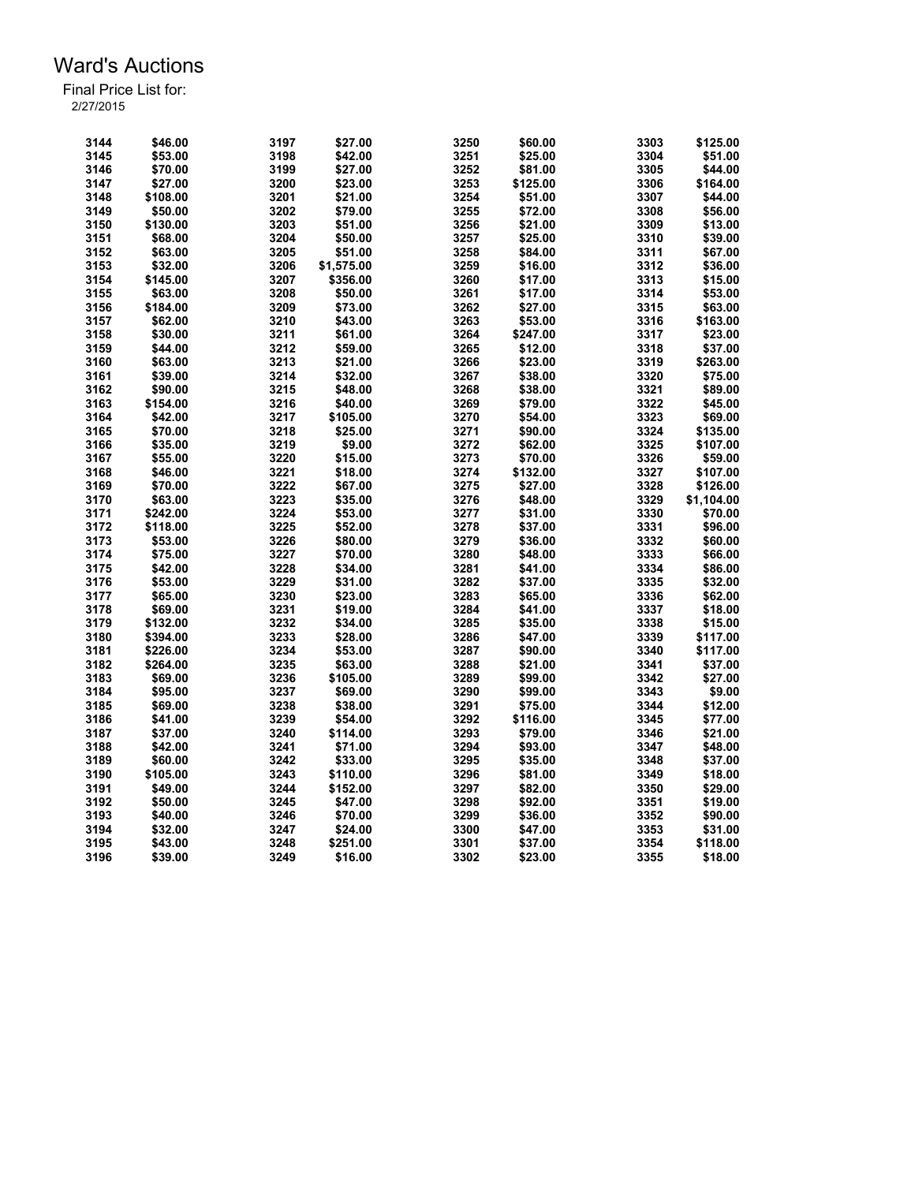| 3144 | \$46.00  | 3197 | \$27.00    | 3250 | \$60.00  | 3303 | \$125.00   |
|------|----------|------|------------|------|----------|------|------------|
| 3145 | \$53.00  | 3198 | \$42.00    | 3251 | \$25.00  | 3304 | \$51.00    |
| 3146 | \$70.00  | 3199 | \$27.00    | 3252 | \$81.00  | 3305 | \$44.00    |
| 3147 | \$27.00  | 3200 | \$23.00    | 3253 | \$125.00 | 3306 | \$164.00   |
| 3148 | \$108.00 | 3201 | \$21.00    | 3254 | \$51.00  | 3307 | \$44.00    |
| 3149 | \$50.00  | 3202 | \$79.00    | 3255 | \$72.00  | 3308 | \$56.00    |
| 3150 | \$130.00 | 3203 | \$51.00    | 3256 | \$21.00  | 3309 | \$13.00    |
| 3151 | \$68.00  | 3204 | \$50.00    | 3257 | \$25.00  | 3310 | \$39.00    |
| 3152 | \$63.00  | 3205 | \$51.00    | 3258 | \$84.00  | 3311 | \$67.00    |
| 3153 | \$32.00  | 3206 | \$1,575.00 | 3259 | \$16.00  | 3312 | \$36.00    |
| 3154 | \$145.00 | 3207 | \$356.00   | 3260 | \$17.00  | 3313 | \$15.00    |
| 3155 | \$63.00  | 3208 | \$50.00    | 3261 | \$17.00  | 3314 | \$53.00    |
|      |          |      |            | 3262 |          |      |            |
| 3156 | \$184.00 | 3209 | \$73.00    |      | \$27.00  | 3315 | \$63.00    |
| 3157 | \$62.00  | 3210 | \$43.00    | 3263 | \$53.00  | 3316 | \$163.00   |
| 3158 | \$30.00  | 3211 | \$61.00    | 3264 | \$247.00 | 3317 | \$23.00    |
| 3159 | \$44.00  | 3212 | \$59.00    | 3265 | \$12.00  | 3318 | \$37.00    |
| 3160 | \$63.00  | 3213 | \$21.00    | 3266 | \$23.00  | 3319 | \$263.00   |
| 3161 | \$39.00  | 3214 | \$32.00    | 3267 | \$38.00  | 3320 | \$75.00    |
| 3162 | \$90.00  | 3215 | \$48.00    | 3268 | \$38.00  | 3321 | \$89.00    |
| 3163 | \$154.00 | 3216 | \$40.00    | 3269 | \$79.00  | 3322 | \$45.00    |
| 3164 | \$42.00  | 3217 | \$105.00   | 3270 | \$54.00  | 3323 | \$69.00    |
| 3165 | \$70.00  | 3218 | \$25.00    | 3271 | \$90.00  | 3324 | \$135.00   |
| 3166 | \$35.00  | 3219 | \$9.00     | 3272 | \$62.00  | 3325 | \$107.00   |
| 3167 | \$55.00  | 3220 | \$15.00    | 3273 | \$70.00  | 3326 | \$59.00    |
| 3168 | \$46.00  | 3221 | \$18.00    | 3274 | \$132.00 | 3327 | \$107.00   |
| 3169 | \$70.00  | 3222 | \$67.00    | 3275 | \$27.00  | 3328 | \$126.00   |
| 3170 | \$63.00  | 3223 | \$35.00    | 3276 | \$48.00  | 3329 | \$1,104.00 |
| 3171 | \$242.00 | 3224 | \$53.00    | 3277 | \$31.00  | 3330 | \$70.00    |
| 3172 | \$118.00 | 3225 | \$52.00    | 3278 | \$37.00  | 3331 | \$96.00    |
| 3173 | \$53.00  | 3226 | \$80.00    | 3279 | \$36.00  | 3332 | \$60.00    |
|      |          |      |            |      |          |      |            |
| 3174 | \$75.00  | 3227 | \$70.00    | 3280 | \$48.00  | 3333 | \$66.00    |
| 3175 | \$42.00  | 3228 | \$34.00    | 3281 | \$41.00  | 3334 | \$86.00    |
| 3176 | \$53.00  | 3229 | \$31.00    | 3282 | \$37.00  | 3335 | \$32.00    |
| 3177 | \$65.00  | 3230 | \$23.00    | 3283 | \$65.00  | 3336 | \$62.00    |
| 3178 | \$69.00  | 3231 | \$19.00    | 3284 | \$41.00  | 3337 | \$18.00    |
| 3179 | \$132.00 | 3232 | \$34.00    | 3285 | \$35.00  | 3338 | \$15.00    |
| 3180 | \$394.00 | 3233 | \$28.00    | 3286 | \$47.00  | 3339 | \$117.00   |
| 3181 | \$226.00 | 3234 | \$53.00    | 3287 | \$90.00  | 3340 | \$117.00   |
| 3182 | \$264.00 | 3235 | \$63.00    | 3288 | \$21.00  | 3341 | \$37.00    |
| 3183 | \$69.00  | 3236 | \$105.00   | 3289 | \$99.00  | 3342 | \$27.00    |
| 3184 | \$95.00  | 3237 | \$69.00    | 3290 | \$99.00  | 3343 | \$9.00     |
| 3185 | \$69.00  | 3238 | \$38.00    | 3291 | \$75.00  | 3344 | \$12.00    |
| 3186 | \$41.00  | 3239 | \$54.00    | 3292 | \$116.00 | 3345 | \$77.00    |
| 3187 | \$37.00  | 3240 | \$114.00   | 3293 | \$79.00  | 3346 | \$21.00    |
| 3188 | \$42.00  | 3241 | \$71.00    | 3294 | \$93.00  | 3347 | \$48.00    |
|      |          |      |            |      |          |      |            |
| 3189 | \$60.00  | 3242 | \$33.00    | 3295 | \$35.00  | 3348 | \$37.00    |
| 3190 | \$105.00 | 3243 | \$110.00   | 3296 | \$81.00  | 3349 | \$18.00    |
| 3191 | \$49.00  | 3244 | \$152.00   | 3297 | \$82.00  | 3350 | \$29.00    |
| 3192 | \$50.00  | 3245 | \$47.00    | 3298 | \$92.00  | 3351 | \$19.00    |
| 3193 | \$40.00  | 3246 | \$70.00    | 3299 | \$36.00  | 3352 | \$90.00    |
| 3194 | \$32.00  | 3247 | \$24.00    | 3300 | \$47.00  | 3353 | \$31.00    |
| 3195 | \$43.00  | 3248 | \$251.00   | 3301 | \$37.00  | 3354 | \$118.00   |
| 3196 | \$39.00  | 3249 | \$16.00    | 3302 | \$23.00  | 3355 | \$18.00    |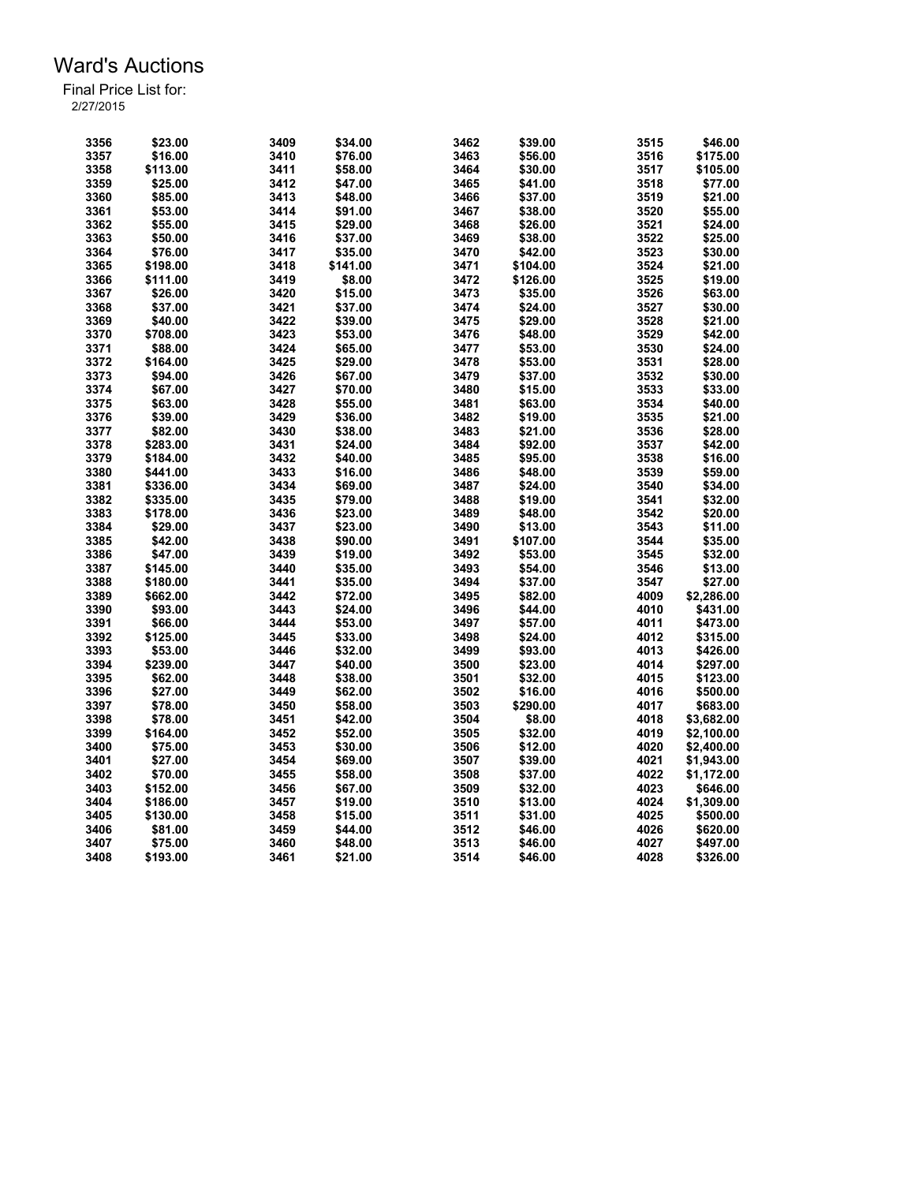| 3356 | \$23.00  | 3409         | \$34.00  | 3462         | \$39.00  | 3515 | \$46.00    |
|------|----------|--------------|----------|--------------|----------|------|------------|
| 3357 | \$16.00  | 3410         | \$76.00  | 3463         | \$56.00  | 3516 | \$175.00   |
| 3358 | \$113.00 | 3411         | \$58.00  | 3464         | \$30.00  | 3517 | \$105.00   |
| 3359 | \$25.00  | 3412         | \$47.00  | 3465         | \$41.00  | 3518 | \$77.00    |
| 3360 | \$85.00  | 3413         | \$48.00  | 3466         | \$37.00  | 3519 | \$21.00    |
| 3361 | \$53.00  | 3414         | \$91.00  | 3467         | \$38.00  | 3520 | \$55.00    |
| 3362 | \$55.00  | 3415         | \$29.00  | 3468         | \$26.00  | 3521 | \$24.00    |
| 3363 | \$50.00  | 3416         | \$37.00  | 3469         | \$38.00  | 3522 | \$25.00    |
| 3364 | \$76.00  | 3417         | \$35.00  | 3470         | \$42.00  | 3523 | \$30.00    |
| 3365 | \$198.00 | 3418         | \$141.00 | 3471         | \$104.00 | 3524 | \$21.00    |
| 3366 | \$111.00 | 3419         | \$8.00   | 3472         | \$126.00 | 3525 | \$19.00    |
| 3367 | \$26.00  | 3420         | \$15.00  | 3473         | \$35.00  | 3526 | \$63.00    |
| 3368 | \$37.00  | 3421         | \$37.00  | 3474         | \$24.00  | 3527 | \$30.00    |
| 3369 | \$40.00  | 3422         | \$39.00  | 3475         | \$29.00  | 3528 | \$21.00    |
| 3370 | \$708.00 | 3423         | \$53.00  | 3476         | \$48.00  | 3529 | \$42.00    |
| 3371 | \$88.00  | 3424         | \$65.00  | 3477         | \$53.00  | 3530 | \$24.00    |
| 3372 | \$164.00 | 3425         | \$29.00  | 3478         | \$53.00  | 3531 | \$28.00    |
| 3373 | \$94.00  | 3426         | \$67.00  | 3479         | \$37.00  | 3532 | \$30.00    |
| 3374 | \$67.00  | 3427         | \$70.00  | 3480         | \$15.00  | 3533 | \$33.00    |
| 3375 | \$63.00  | 3428         |          | 3481         | \$63.00  | 3534 | \$40.00    |
| 3376 |          | 3429         | \$55.00  | 3482         |          | 3535 | \$21.00    |
|      | \$39.00  |              | \$36.00  |              | \$19.00  |      |            |
| 3377 | \$82.00  | 3430         | \$38.00  | 3483         | \$21.00  | 3536 | \$28.00    |
| 3378 | \$283.00 | 3431         | \$24.00  | 3484         | \$92.00  | 3537 | \$42.00    |
| 3379 | \$184.00 | 3432         | \$40.00  | 3485         | \$95.00  | 3538 | \$16.00    |
| 3380 | \$441.00 | 3433         | \$16.00  | 3486         | \$48.00  | 3539 | \$59.00    |
| 3381 | \$336.00 | 3434         | \$69.00  | 3487         | \$24.00  | 3540 | \$34.00    |
| 3382 | \$335.00 | 3435         | \$79.00  | 3488         | \$19.00  | 3541 | \$32.00    |
| 3383 | \$178.00 | 3436         | \$23.00  | 3489         | \$48.00  | 3542 | \$20.00    |
| 3384 | \$29.00  | 3437         | \$23.00  | 3490         | \$13.00  | 3543 | \$11.00    |
| 3385 | \$42.00  | 3438         | \$90.00  | 3491         | \$107.00 | 3544 | \$35.00    |
| 3386 | \$47.00  | 3439         | \$19.00  | 3492         | \$53.00  | 3545 | \$32.00    |
| 3387 | \$145.00 | 3440         | \$35.00  | 3493         | \$54.00  | 3546 | \$13.00    |
| 3388 | \$180.00 | 3441         | \$35.00  | 3494         | \$37.00  | 3547 | \$27.00    |
| 3389 | \$662.00 | 3442         | \$72.00  | 3495         | \$82.00  | 4009 | \$2,286.00 |
| 3390 | \$93.00  | 3443         | \$24.00  | 3496         | \$44.00  | 4010 | \$431.00   |
| 3391 | \$66.00  | 3444         | \$53.00  | 3497         | \$57.00  | 4011 | \$473.00   |
| 3392 | \$125.00 | 3445         | \$33.00  | 3498         | \$24.00  | 4012 | \$315.00   |
| 3393 | \$53.00  | 3446         | \$32.00  | 3499         | \$93.00  | 4013 | \$426.00   |
| 3394 | \$239.00 | 3447         | \$40.00  | 3500         | \$23.00  | 4014 | \$297.00   |
| 3395 | \$62.00  | 3448         | \$38.00  | 3501         | \$32.00  | 4015 | \$123.00   |
| 3396 | \$27.00  | 3449         | \$62.00  | 3502         | \$16.00  | 4016 | \$500.00   |
| 3397 | \$78.00  | 3450         | \$58.00  | 3503         | \$290.00 | 4017 | \$683.00   |
| 3398 | \$78.00  | 3451         | \$42.00  | 3504         | \$8.00   | 4018 | \$3,682.00 |
| 3399 | \$164.00 | 3452         | \$52.00  | 3505         | \$32.00  | 4019 | \$2,100.00 |
| 3400 | \$75.00  | 3453         | \$30.00  | 3506         | \$12.00  | 4020 | \$2,400.00 |
| 3401 | \$27.00  | 3454         | \$69.00  | 3507         | \$39.00  | 4021 | \$1,943.00 |
| 3402 | \$70.00  | 3455         | \$58.00  | 3508         | \$37.00  | 4022 | \$1,172.00 |
| 3403 | \$152.00 | 3456         | \$67.00  | 3509         | \$32.00  | 4023 | \$646.00   |
| 3404 | \$186.00 | 3457         | \$19.00  | 3510         | \$13.00  | 4024 | \$1,309.00 |
| 3405 | \$130.00 | 3458         | \$15.00  | 3511         | \$31.00  | 4025 | \$500.00   |
|      |          |              |          |              |          | 4026 |            |
| 3406 | \$81.00  | 3459<br>3460 | \$44.00  | 3512<br>3513 | \$46.00  | 4027 | \$620.00   |
| 3407 | \$75.00  |              | \$48.00  |              | \$46.00  |      | \$497.00   |
| 3408 | \$193.00 | 3461         | \$21.00  | 3514         | \$46.00  | 4028 | \$326.00   |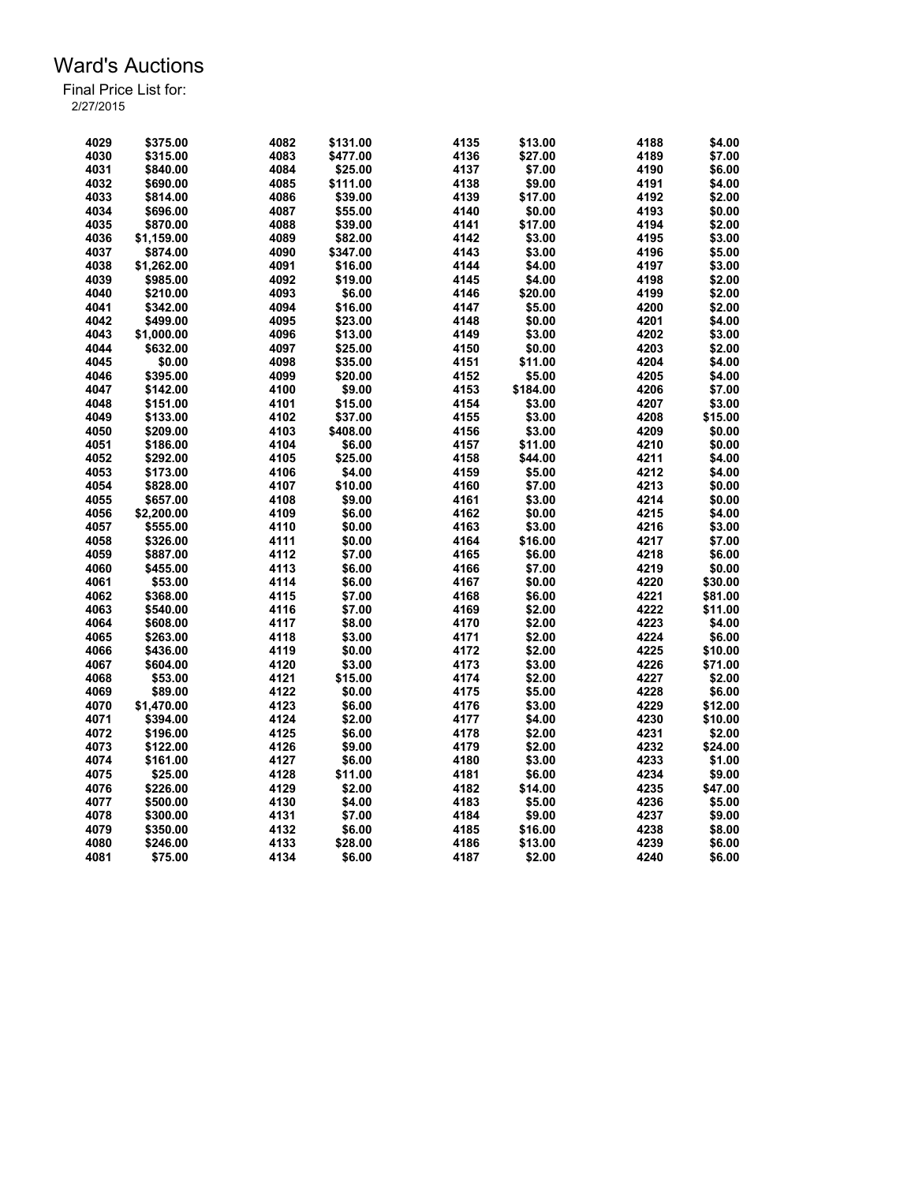| 4029 | \$375.00   | 4082 | \$131.00 | 4135 | \$13.00  | 4188 | \$4.00  |
|------|------------|------|----------|------|----------|------|---------|
| 4030 | \$315.00   | 4083 | \$477.00 | 4136 | \$27.00  | 4189 | \$7.00  |
| 4031 | \$840.00   | 4084 | \$25.00  | 4137 | \$7.00   | 4190 | \$6.00  |
| 4032 | \$690.00   | 4085 | \$111.00 | 4138 | \$9.00   | 4191 | \$4.00  |
| 4033 | \$814.00   | 4086 | \$39.00  | 4139 | \$17.00  | 4192 | \$2.00  |
| 4034 | \$696.00   | 4087 | \$55.00  | 4140 | \$0.00   | 4193 | \$0.00  |
| 4035 | \$870.00   | 4088 | \$39.00  | 4141 | \$17.00  | 4194 | \$2.00  |
| 4036 | \$1,159.00 | 4089 | \$82.00  | 4142 | \$3.00   | 4195 | \$3.00  |
| 4037 | \$874.00   | 4090 | \$347.00 | 4143 | \$3.00   | 4196 | \$5.00  |
| 4038 | \$1,262.00 | 4091 | \$16.00  | 4144 | \$4.00   | 4197 | \$3.00  |
| 4039 | \$985.00   | 4092 | \$19.00  | 4145 | \$4.00   | 4198 | \$2.00  |
| 4040 | \$210.00   | 4093 | \$6.00   | 4146 | \$20.00  | 4199 | \$2.00  |
| 4041 | \$342.00   | 4094 | \$16.00  | 4147 | \$5.00   | 4200 | \$2.00  |
| 4042 | \$499.00   | 4095 | \$23.00  | 4148 | \$0.00   | 4201 | \$4.00  |
| 4043 | \$1,000.00 | 4096 | \$13.00  | 4149 | \$3.00   | 4202 | \$3.00  |
| 4044 | \$632.00   | 4097 | \$25.00  | 4150 | \$0.00   | 4203 | \$2.00  |
| 4045 | \$0.00     | 4098 | \$35.00  | 4151 | \$11.00  | 4204 | \$4.00  |
| 4046 | \$395.00   | 4099 | \$20.00  | 4152 | \$5.00   | 4205 | \$4.00  |
| 4047 | \$142.00   | 4100 | \$9.00   | 4153 | \$184.00 | 4206 | \$7.00  |
| 4048 | \$151.00   | 4101 | \$15.00  | 4154 | \$3.00   | 4207 | \$3.00  |
| 4049 | \$133.00   | 4102 | \$37.00  | 4155 | \$3.00   | 4208 | \$15.00 |
| 4050 | \$209.00   | 4103 | \$408.00 | 4156 | \$3.00   | 4209 | \$0.00  |
| 4051 | \$186.00   | 4104 | \$6.00   | 4157 | \$11.00  | 4210 | \$0.00  |
| 4052 | \$292.00   | 4105 | \$25.00  | 4158 | \$44.00  | 4211 | \$4.00  |
| 4053 | \$173.00   | 4106 | \$4.00   | 4159 | \$5.00   | 4212 | \$4.00  |
| 4054 | \$828.00   | 4107 | \$10.00  | 4160 | \$7.00   | 4213 | \$0.00  |
| 4055 | \$657.00   | 4108 | \$9.00   | 4161 | \$3.00   | 4214 | \$0.00  |
| 4056 | \$2,200.00 | 4109 | \$6.00   | 4162 | \$0.00   | 4215 | \$4.00  |
| 4057 | \$555.00   | 4110 | \$0.00   | 4163 | \$3.00   | 4216 | \$3.00  |
| 4058 | \$326.00   | 4111 | \$0.00   | 4164 | \$16.00  | 4217 | \$7.00  |
| 4059 | \$887.00   | 4112 | \$7.00   | 4165 | \$6.00   | 4218 | \$6.00  |
| 4060 | \$455.00   | 4113 | \$6.00   | 4166 | \$7.00   | 4219 | \$0.00  |
| 4061 | \$53.00    | 4114 | \$6.00   | 4167 | \$0.00   | 4220 | \$30.00 |
| 4062 | \$368.00   | 4115 | \$7.00   | 4168 | \$6.00   | 4221 | \$81.00 |
| 4063 | \$540.00   | 4116 | \$7.00   | 4169 | \$2.00   | 4222 | \$11.00 |
| 4064 | \$608.00   | 4117 | \$8.00   | 4170 | \$2.00   | 4223 | \$4.00  |
| 4065 | \$263.00   | 4118 | \$3.00   | 4171 | \$2.00   | 4224 | \$6.00  |
| 4066 | \$436.00   | 4119 | \$0.00   | 4172 | \$2.00   | 4225 | \$10.00 |
| 4067 | \$604.00   | 4120 | \$3.00   | 4173 | \$3.00   | 4226 | \$71.00 |
| 4068 | \$53.00    | 4121 | \$15.00  | 4174 | \$2.00   | 4227 | \$2.00  |
| 4069 | \$89.00    | 4122 | \$0.00   | 4175 | \$5.00   | 4228 | \$6.00  |
| 4070 | \$1.470.00 | 4123 | \$6.00   | 4176 | \$3.00   | 4229 | \$12.00 |
| 4071 | \$394.00   | 4124 | \$2.00   | 4177 | \$4.00   | 4230 | \$10.00 |
| 4072 | \$196.00   | 4125 | \$6.00   | 4178 | \$2.00   | 4231 | \$2.00  |
| 4073 | \$122.00   | 4126 | \$9.00   | 4179 | \$2.00   | 4232 | \$24.00 |
| 4074 | \$161.00   | 4127 | \$6.00   | 4180 | \$3.00   | 4233 | \$1.00  |
| 4075 | \$25.00    | 4128 | \$11.00  | 4181 | \$6.00   | 4234 | \$9.00  |
| 4076 | \$226.00   | 4129 | \$2.00   | 4182 | \$14.00  | 4235 | \$47.00 |
| 4077 | \$500.00   | 4130 | \$4.00   | 4183 | \$5.00   | 4236 | \$5.00  |
| 4078 | \$300.00   | 4131 | \$7.00   | 4184 | \$9.00   | 4237 | \$9.00  |
| 4079 | \$350.00   | 4132 | \$6.00   | 4185 | \$16.00  | 4238 | \$8.00  |
| 4080 | \$246.00   | 4133 | \$28.00  | 4186 | \$13.00  | 4239 | \$6.00  |
| 4081 | \$75.00    | 4134 | \$6.00   | 4187 | \$2.00   | 4240 | \$6.00  |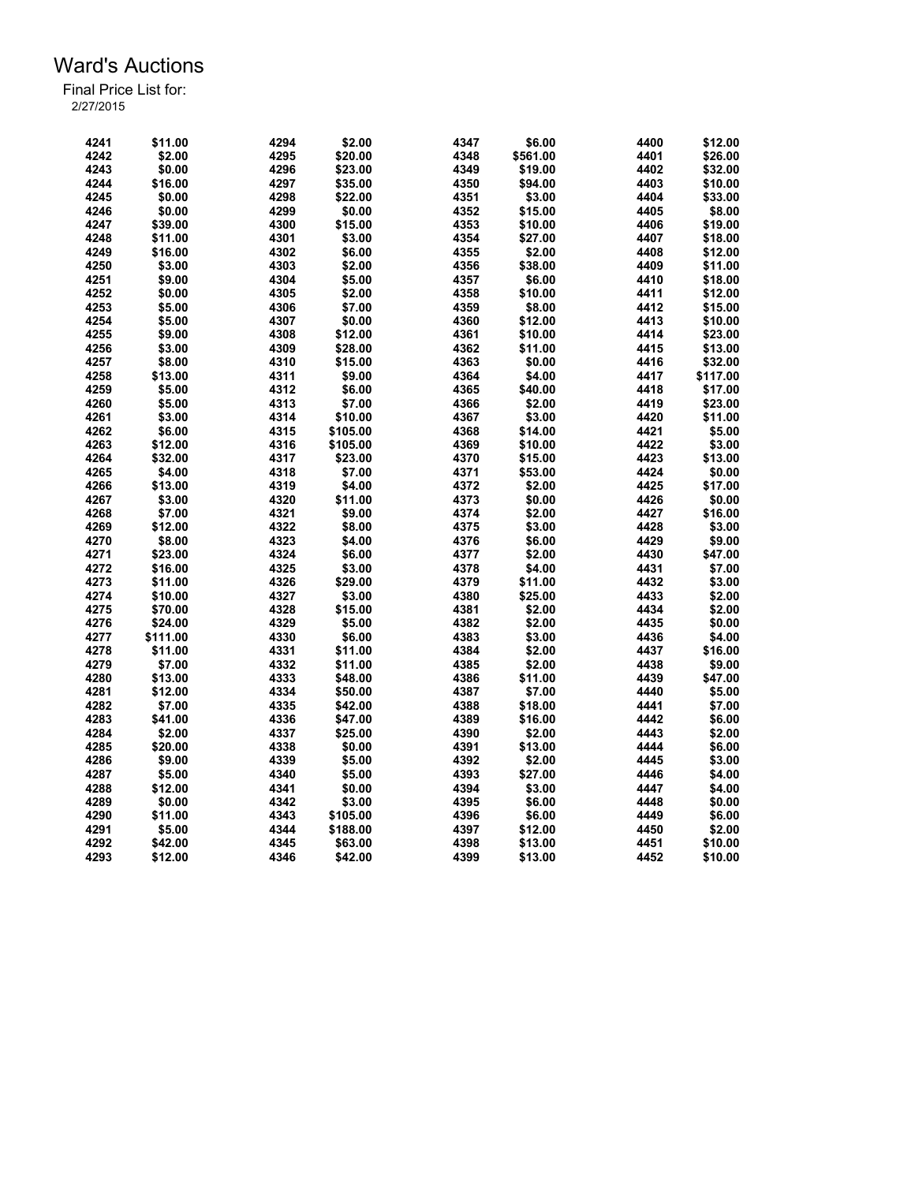| 4241         | \$11.00  | 4294 | \$2.00   | 4347         | \$6.00   | 4400 | \$12.00  |
|--------------|----------|------|----------|--------------|----------|------|----------|
| 4242         | \$2.00   | 4295 | \$20.00  | 4348         | \$561.00 | 4401 | \$26.00  |
| 4243         | \$0.00   | 4296 | \$23.00  | 4349         | \$19.00  | 4402 | \$32.00  |
| 4244         | \$16.00  | 4297 | \$35.00  | 4350         | \$94.00  | 4403 | \$10.00  |
| 4245         | \$0.00   | 4298 | \$22.00  | 4351         | \$3.00   | 4404 | \$33.00  |
| 4246         | \$0.00   | 4299 | \$0.00   | 4352         | \$15.00  | 4405 | \$8.00   |
| 4247         | \$39.00  | 4300 | \$15.00  | 4353         | \$10.00  | 4406 | \$19.00  |
| 4248         | \$11.00  | 4301 | \$3.00   | 4354         | \$27.00  | 4407 | \$18.00  |
| 4249         | \$16.00  | 4302 | \$6.00   | 4355         | \$2.00   | 4408 | \$12.00  |
| 4250         | \$3.00   | 4303 | \$2.00   | 4356         | \$38.00  | 4409 | \$11.00  |
| 4251         | \$9.00   | 4304 | \$5.00   | 4357         | \$6.00   | 4410 | \$18.00  |
| 4252         | \$0.00   | 4305 | \$2.00   | 4358         | \$10.00  | 4411 | \$12.00  |
| 4253         | \$5.00   | 4306 | \$7.00   | 4359         | \$8.00   | 4412 | \$15.00  |
| 4254         | \$5.00   | 4307 | \$0.00   | 4360         | \$12.00  | 4413 | \$10.00  |
| 4255         | \$9.00   | 4308 | \$12.00  | 4361         | \$10.00  | 4414 | \$23.00  |
| 4256         | \$3.00   | 4309 | \$28.00  | 4362         | \$11.00  | 4415 | \$13.00  |
| 4257         | \$8.00   | 4310 | \$15.00  | 4363         | \$0.00   | 4416 | \$32.00  |
| 4258         | \$13.00  | 4311 | \$9.00   | 4364         | \$4.00   | 4417 | \$117.00 |
|              | \$5.00   |      |          |              |          |      |          |
| 4259         |          | 4312 | \$6.00   | 4365         | \$40.00  | 4418 | \$17.00  |
| 4260<br>4261 | \$5.00   | 4313 | \$7.00   | 4366<br>4367 | \$2.00   | 4419 | \$23.00  |
|              | \$3.00   | 4314 | \$10.00  |              | \$3.00   | 4420 | \$11.00  |
| 4262         | \$6.00   | 4315 | \$105.00 | 4368         | \$14.00  | 4421 | \$5.00   |
| 4263         | \$12.00  | 4316 | \$105.00 | 4369         | \$10.00  | 4422 | \$3.00   |
| 4264         | \$32.00  | 4317 | \$23.00  | 4370         | \$15.00  | 4423 | \$13.00  |
| 4265         | \$4.00   | 4318 | \$7.00   | 4371         | \$53.00  | 4424 | \$0.00   |
| 4266         | \$13.00  | 4319 | \$4.00   | 4372         | \$2.00   | 4425 | \$17.00  |
| 4267         | \$3.00   | 4320 | \$11.00  | 4373         | \$0.00   | 4426 | \$0.00   |
| 4268         | \$7.00   | 4321 | \$9.00   | 4374         | \$2.00   | 4427 | \$16.00  |
| 4269         | \$12.00  | 4322 | \$8.00   | 4375         | \$3.00   | 4428 | \$3.00   |
| 4270         | \$8.00   | 4323 | \$4.00   | 4376         | \$6.00   | 4429 | \$9.00   |
| 4271         | \$23.00  | 4324 | \$6.00   | 4377         | \$2.00   | 4430 | \$47.00  |
| 4272         | \$16.00  | 4325 | \$3.00   | 4378         | \$4.00   | 4431 | \$7.00   |
| 4273         | \$11.00  | 4326 | \$29.00  | 4379         | \$11.00  | 4432 | \$3.00   |
| 4274         | \$10.00  | 4327 | \$3.00   | 4380         | \$25.00  | 4433 | \$2.00   |
| 4275         | \$70.00  | 4328 | \$15.00  | 4381         | \$2.00   | 4434 | \$2.00   |
| 4276         | \$24.00  | 4329 | \$5.00   | 4382         | \$2.00   | 4435 | \$0.00   |
| 4277         | \$111.00 | 4330 | \$6.00   | 4383         | \$3.00   | 4436 | \$4.00   |
| 4278         | \$11.00  | 4331 | \$11.00  | 4384         | \$2.00   | 4437 | \$16.00  |
| 4279         | \$7.00   | 4332 | \$11.00  | 4385         | \$2.00   | 4438 | \$9.00   |
| 4280         | \$13.00  | 4333 | \$48.00  | 4386         | \$11.00  | 4439 | \$47.00  |
| 4281         | \$12.00  | 4334 | \$50.00  | 4387         | \$7.00   | 4440 | \$5.00   |
| 4282         | \$7.00   | 4335 | \$42.00  | 4388         | \$18.00  | 4441 | \$7.00   |
| 4283         | \$41.00  | 4336 | \$47.00  | 4389         | \$16.00  | 4442 | \$6.00   |
| 4284         | \$2.00   | 4337 | \$25.00  | 4390         | \$2.00   | 4443 | \$2.00   |
| 4285         | \$20.00  | 4338 | \$0.00   | 4391         | \$13.00  | 4444 | \$6.00   |
| 4286         | \$9.00   | 4339 | \$5.00   | 4392         | \$2.00   | 4445 | \$3.00   |
| 4287         | \$5.00   | 4340 | \$5.00   | 4393         | \$27.00  | 4446 | \$4.00   |
| 4288         | \$12.00  | 4341 | \$0.00   | 4394         | \$3.00   | 4447 | \$4.00   |
| 4289         | \$0.00   | 4342 | \$3.00   | 4395         | \$6.00   | 4448 | \$0.00   |
| 4290         | \$11.00  | 4343 | \$105.00 | 4396         | \$6.00   | 4449 | \$6.00   |
| 4291         | \$5.00   | 4344 | \$188.00 | 4397         | \$12.00  | 4450 | \$2.00   |
| 4292         | \$42.00  | 4345 | \$63.00  | 4398         | \$13.00  | 4451 | \$10.00  |
| 4293         | \$12.00  | 4346 | \$42.00  | 4399         | \$13.00  | 4452 | \$10.00  |
|              |          |      |          |              |          |      |          |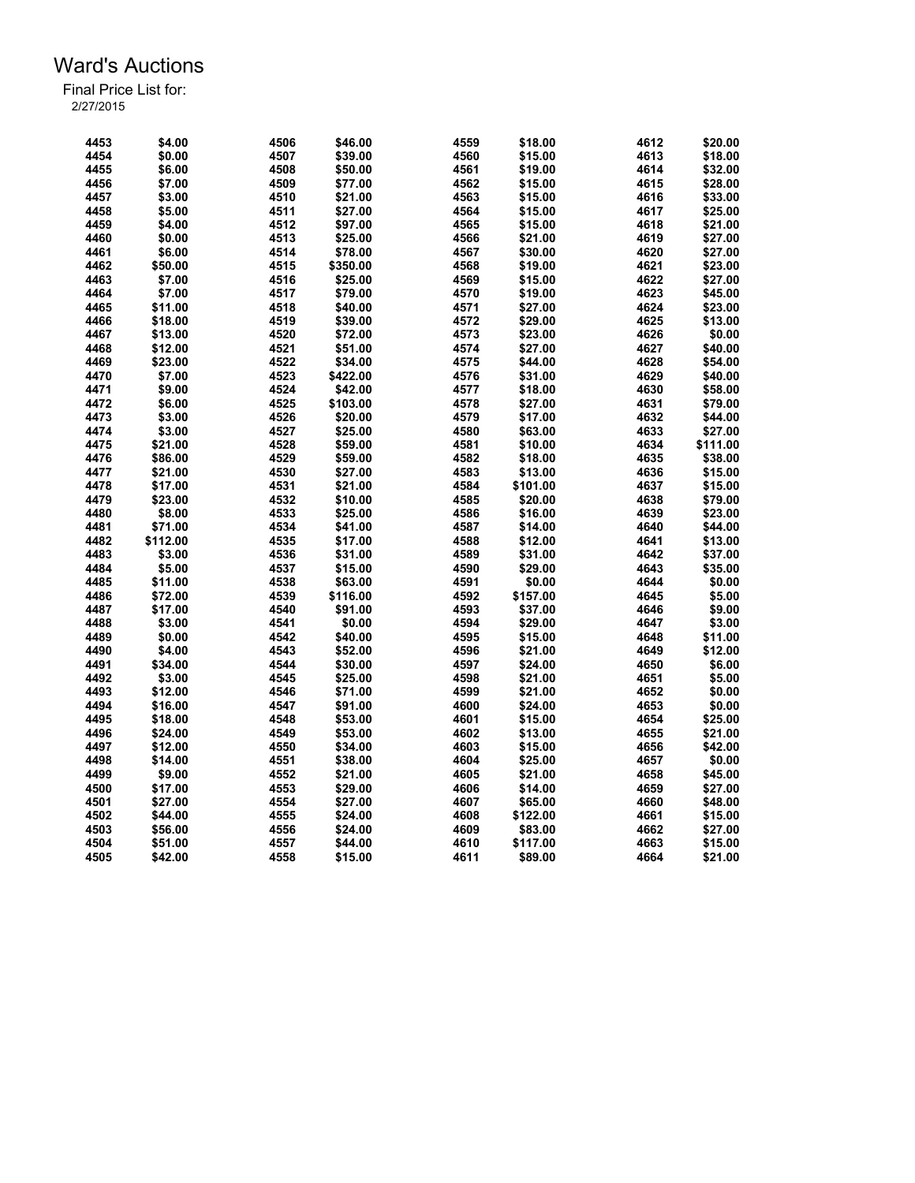| 4453 | \$4.00   | 4506 | \$46.00  | 4559 | \$18.00  | 4612 | \$20.00  |
|------|----------|------|----------|------|----------|------|----------|
| 4454 | \$0.00   | 4507 | \$39.00  | 4560 | \$15.00  | 4613 | \$18.00  |
| 4455 | \$6.00   | 4508 | \$50.00  | 4561 | \$19.00  | 4614 | \$32.00  |
| 4456 | \$7.00   | 4509 | \$77.00  | 4562 | \$15.00  | 4615 | \$28.00  |
| 4457 | \$3.00   | 4510 | \$21.00  | 4563 | \$15.00  | 4616 | \$33.00  |
| 4458 | \$5.00   | 4511 | \$27.00  | 4564 | \$15.00  | 4617 | \$25.00  |
| 4459 | \$4.00   | 4512 | \$97.00  | 4565 | \$15.00  | 4618 | \$21.00  |
| 4460 | \$0.00   | 4513 | \$25.00  | 4566 | \$21.00  | 4619 | \$27.00  |
| 4461 | \$6.00   | 4514 | \$78.00  | 4567 | \$30.00  | 4620 | \$27.00  |
| 4462 | \$50.00  | 4515 | \$350.00 | 4568 | \$19.00  | 4621 | \$23.00  |
| 4463 | \$7.00   | 4516 | \$25.00  | 4569 | \$15.00  | 4622 | \$27.00  |
| 4464 | \$7.00   | 4517 | \$79.00  | 4570 | \$19.00  | 4623 | \$45.00  |
| 4465 | \$11.00  | 4518 | \$40.00  | 4571 | \$27.00  | 4624 | \$23.00  |
| 4466 | \$18.00  | 4519 | \$39.00  | 4572 | \$29.00  | 4625 | \$13.00  |
| 4467 |          |      |          |      |          | 4626 |          |
|      | \$13.00  | 4520 | \$72.00  | 4573 | \$23.00  |      | \$0.00   |
| 4468 | \$12.00  | 4521 | \$51.00  | 4574 | \$27.00  | 4627 | \$40.00  |
| 4469 | \$23.00  | 4522 | \$34.00  | 4575 | \$44.00  | 4628 | \$54.00  |
| 4470 | \$7.00   | 4523 | \$422.00 | 4576 | \$31.00  | 4629 | \$40.00  |
| 4471 | \$9.00   | 4524 | \$42.00  | 4577 | \$18.00  | 4630 | \$58.00  |
| 4472 | \$6.00   | 4525 | \$103.00 | 4578 | \$27.00  | 4631 | \$79.00  |
| 4473 | \$3.00   | 4526 | \$20.00  | 4579 | \$17.00  | 4632 | \$44.00  |
| 4474 | \$3.00   | 4527 | \$25.00  | 4580 | \$63.00  | 4633 | \$27.00  |
| 4475 | \$21.00  | 4528 | \$59.00  | 4581 | \$10.00  | 4634 | \$111.00 |
| 4476 | \$86.00  | 4529 | \$59.00  | 4582 | \$18.00  | 4635 | \$38.00  |
| 4477 | \$21.00  | 4530 | \$27.00  | 4583 | \$13.00  | 4636 | \$15.00  |
| 4478 | \$17.00  | 4531 | \$21.00  | 4584 | \$101.00 | 4637 | \$15.00  |
| 4479 | \$23.00  | 4532 | \$10.00  | 4585 | \$20.00  | 4638 | \$79.00  |
| 4480 | \$8.00   | 4533 | \$25.00  | 4586 | \$16.00  | 4639 | \$23.00  |
| 4481 | \$71.00  | 4534 | \$41.00  | 4587 | \$14.00  | 4640 | \$44.00  |
| 4482 | \$112.00 | 4535 | \$17.00  | 4588 | \$12.00  | 4641 | \$13.00  |
| 4483 | \$3.00   | 4536 | \$31.00  | 4589 | \$31.00  | 4642 | \$37.00  |
| 4484 | \$5.00   | 4537 | \$15.00  | 4590 | \$29.00  | 4643 | \$35.00  |
| 4485 | \$11.00  | 4538 | \$63.00  | 4591 | \$0.00   | 4644 | \$0.00   |
| 4486 | \$72.00  | 4539 | \$116.00 | 4592 | \$157.00 | 4645 | \$5.00   |
| 4487 | \$17.00  | 4540 | \$91.00  | 4593 | \$37.00  | 4646 | \$9.00   |
| 4488 | \$3.00   | 4541 | \$0.00   | 4594 | \$29.00  | 4647 | \$3.00   |
| 4489 | \$0.00   | 4542 | \$40.00  | 4595 | \$15.00  | 4648 | \$11.00  |
| 4490 | \$4.00   | 4543 | \$52.00  | 4596 | \$21.00  | 4649 | \$12.00  |
|      |          |      |          |      |          | 4650 |          |
| 4491 | \$34.00  | 4544 | \$30.00  | 4597 | \$24.00  |      | \$6.00   |
| 4492 | \$3.00   | 4545 | \$25.00  | 4598 | \$21.00  | 4651 | \$5.00   |
| 4493 | \$12.00  | 4546 | \$71.00  | 4599 | \$21.00  | 4652 | \$0.00   |
| 4494 | \$16.00  | 4547 | \$91.00  | 4600 | \$24.00  | 4653 | \$0.00   |
| 4495 | \$18.00  | 4548 | \$53.00  | 4601 | \$15.00  | 4654 | \$25.00  |
| 4496 | \$24.00  | 4549 | \$53.00  | 4602 | \$13.00  | 4655 | \$21.00  |
| 4497 | \$12.00  | 4550 | \$34.00  | 4603 | \$15.00  | 4656 | \$42.00  |
| 4498 | \$14.00  | 4551 | \$38.00  | 4604 | \$25.00  | 4657 | \$0.00   |
| 4499 | \$9.00   | 4552 | \$21.00  | 4605 | \$21.00  | 4658 | \$45.00  |
| 4500 | \$17.00  | 4553 | \$29.00  | 4606 | \$14.00  | 4659 | \$27.00  |
| 4501 | \$27.00  | 4554 | \$27.00  | 4607 | \$65.00  | 4660 | \$48.00  |
| 4502 | \$44.00  | 4555 | \$24.00  | 4608 | \$122.00 | 4661 | \$15.00  |
| 4503 | \$56.00  | 4556 | \$24.00  | 4609 | \$83.00  | 4662 | \$27.00  |
| 4504 | \$51.00  | 4557 | \$44.00  | 4610 | \$117.00 | 4663 | \$15.00  |
| 4505 | \$42.00  | 4558 | \$15.00  | 4611 | \$89.00  | 4664 | \$21.00  |
|      |          |      |          |      |          |      |          |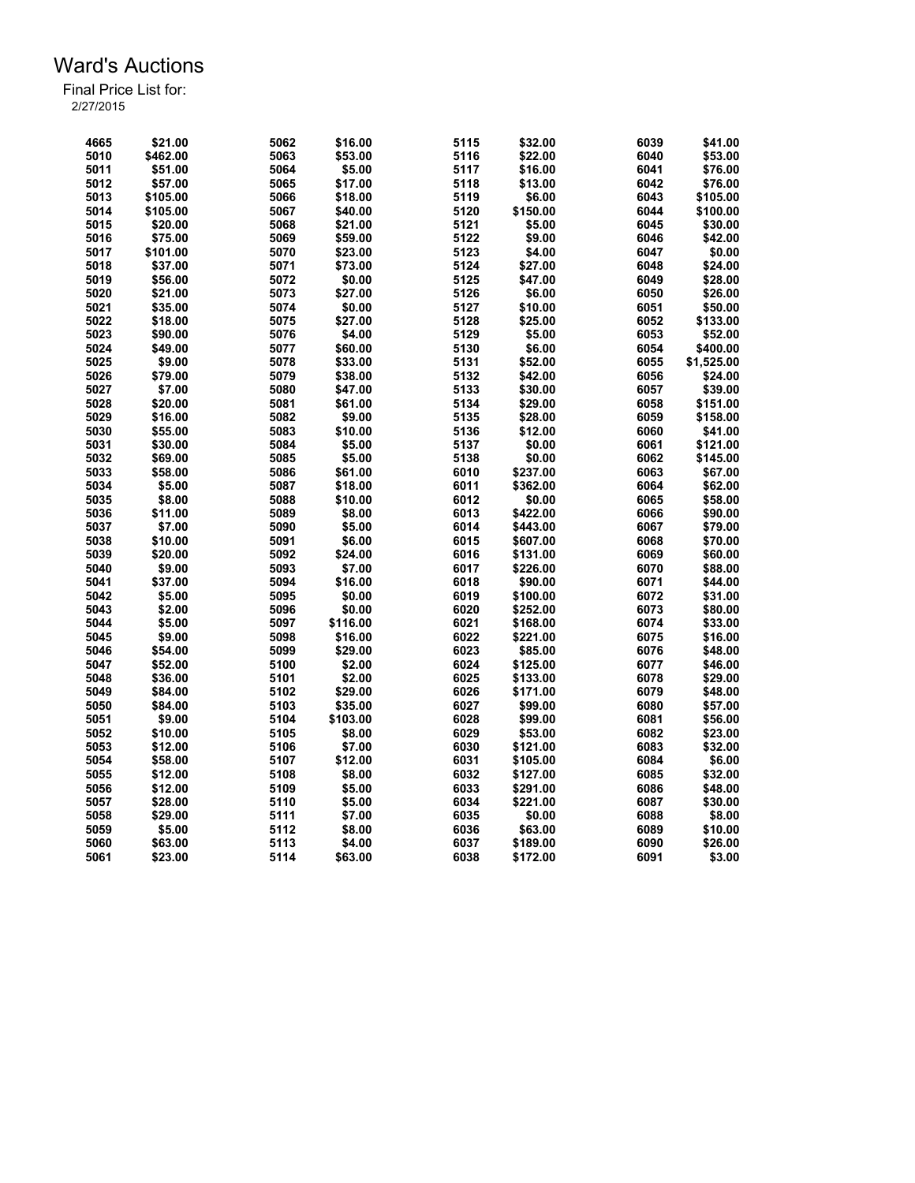| 4665         | \$21.00            | 5062         | \$16.00  | 5115 | \$32.00  | 6039 | \$41.00           |
|--------------|--------------------|--------------|----------|------|----------|------|-------------------|
| 5010         | \$462.00           | 5063         | \$53.00  | 5116 | \$22.00  | 6040 | \$53.00           |
| 5011         | \$51.00            | 5064         | \$5.00   | 5117 | \$16.00  | 6041 | \$76.00           |
| 5012         | \$57.00            | 5065         | \$17.00  | 5118 | \$13.00  | 6042 | \$76.00           |
| 5013         | \$105.00           | 5066         | \$18.00  | 5119 | \$6.00   | 6043 | \$105.00          |
| 5014         | \$105.00           | 5067         | \$40.00  | 5120 | \$150.00 | 6044 | \$100.00          |
| 5015         | \$20.00            | 5068         | \$21.00  | 5121 | \$5.00   | 6045 | \$30.00           |
| 5016         | \$75.00            | 5069         | \$59.00  | 5122 | \$9.00   | 6046 | \$42.00           |
| 5017         | \$101.00           | 5070         | \$23.00  | 5123 | \$4.00   | 6047 | \$0.00            |
| 5018         | \$37.00            | 5071         | \$73.00  | 5124 | \$27.00  | 6048 | \$24.00           |
| 5019         | \$56.00            | 5072         | \$0.00   | 5125 | \$47.00  | 6049 | \$28.00           |
| 5020         | \$21.00            | 5073         | \$27.00  | 5126 | \$6.00   | 6050 | \$26.00           |
| 5021         | \$35.00            | 5074         | \$0.00   | 5127 | \$10.00  | 6051 | \$50.00           |
| 5022         | \$18.00            | 5075         | \$27.00  | 5128 | \$25.00  | 6052 | \$133.00          |
| 5023         | \$90.00            | 5076         | \$4.00   | 5129 | \$5.00   | 6053 | \$52.00           |
| 5024         | \$49.00            | 5077         | \$60.00  | 5130 | \$6.00   | 6054 | \$400.00          |
| 5025         | \$9.00             | 5078         | \$33.00  | 5131 | \$52.00  | 6055 | \$1,525.00        |
|              |                    |              |          |      |          |      |                   |
| 5026         | \$79.00            | 5079         | \$38.00  | 5132 | \$42.00  | 6056 | \$24.00           |
| 5027         | \$7.00             | 5080         | \$47.00  | 5133 | \$30.00  | 6057 | \$39.00           |
| 5028         | \$20.00            | 5081         | \$61.00  | 5134 | \$29.00  | 6058 | \$151.00          |
| 5029         | \$16.00            | 5082         | \$9.00   | 5135 | \$28.00  | 6059 | \$158.00          |
| 5030         | \$55.00            | 5083         | \$10.00  | 5136 | \$12.00  | 6060 | \$41.00           |
| 5031         | \$30.00            | 5084         | \$5.00   | 5137 | \$0.00   | 6061 | \$121.00          |
| 5032         | \$69.00            | 5085         | \$5.00   | 5138 | \$0.00   | 6062 | \$145.00          |
| 5033         | \$58.00            | 5086         | \$61.00  | 6010 | \$237.00 | 6063 | \$67.00           |
| 5034         | \$5.00             | 5087         | \$18.00  | 6011 | \$362.00 | 6064 | \$62.00           |
| 5035         | \$8.00             | 5088         | \$10.00  | 6012 | \$0.00   | 6065 | \$58.00           |
| 5036         | \$11.00            | 5089         | \$8.00   | 6013 | \$422.00 | 6066 | \$90.00           |
| 5037         | \$7.00             | 5090         | \$5.00   | 6014 | \$443.00 | 6067 | \$79.00           |
| 5038         | \$10.00            | 5091         | \$6.00   | 6015 | \$607.00 | 6068 | \$70.00           |
| 5039         | \$20.00            | 5092         | \$24.00  | 6016 | \$131.00 | 6069 | \$60.00           |
| 5040         | \$9.00             | 5093         | \$7.00   | 6017 | \$226.00 | 6070 | \$88.00           |
| 5041         | \$37.00            | 5094         | \$16.00  | 6018 | \$90.00  | 6071 | \$44.00           |
| 5042         | \$5.00             | 5095         | \$0.00   | 6019 | \$100.00 | 6072 | \$31.00           |
| 5043         | \$2.00             | 5096         | \$0.00   | 6020 | \$252.00 | 6073 | \$80.00           |
| 5044         | \$5.00             | 5097         | \$116.00 | 6021 | \$168.00 | 6074 | \$33.00           |
| 5045         | \$9.00             | 5098         | \$16.00  | 6022 | \$221.00 | 6075 | \$16.00           |
| 5046         | \$54.00            | 5099         | \$29.00  | 6023 | \$85.00  | 6076 | \$48.00           |
| 5047         | \$52.00            | 5100         | \$2.00   | 6024 | \$125.00 | 6077 | \$46.00           |
| 5048         | \$36.00            | 5101         | \$2.00   | 6025 | \$133.00 | 6078 | \$29.00           |
| 5049         | \$84.00            | 5102         | \$29.00  | 6026 | \$171.00 | 6079 | \$48.00           |
| 5050         | \$84.00            | 5103         | \$35.00  | 6027 | \$99.00  | 6080 | \$57.00           |
| 5051         | \$9.00             | 5104         | \$103.00 | 6028 | \$99.00  | 6081 | \$56.00           |
| 5052         | \$10.00            | 5105         | \$8.00   | 6029 | \$53.00  | 6082 | \$23.00           |
| 5053         | \$12.00            | 5106         | \$7.00   | 6030 | \$121.00 | 6083 | \$32.00           |
|              |                    |              | \$12.00  | 6031 |          | 6084 |                   |
| 5054<br>5055 | \$58.00<br>\$12.00 | 5107<br>5108 | \$8.00   | 6032 | \$105.00 | 6085 | \$6.00<br>\$32.00 |
|              |                    |              |          | 6033 | \$127.00 |      |                   |
| 5056         | \$12.00            | 5109         | \$5.00   |      | \$291.00 | 6086 | \$48.00           |
| 5057         | \$28.00            | 5110         | \$5.00   | 6034 | \$221.00 | 6087 | \$30.00           |
| 5058         | \$29.00            | 5111         | \$7.00   | 6035 | \$0.00   | 6088 | \$8.00            |
| 5059         | \$5.00             | 5112         | \$8.00   | 6036 | \$63.00  | 6089 | \$10.00           |
| 5060         | \$63.00            | 5113         | \$4.00   | 6037 | \$189.00 | 6090 | \$26.00           |
| 5061         | \$23.00            | 5114         | \$63.00  | 6038 | \$172.00 | 6091 | \$3.00            |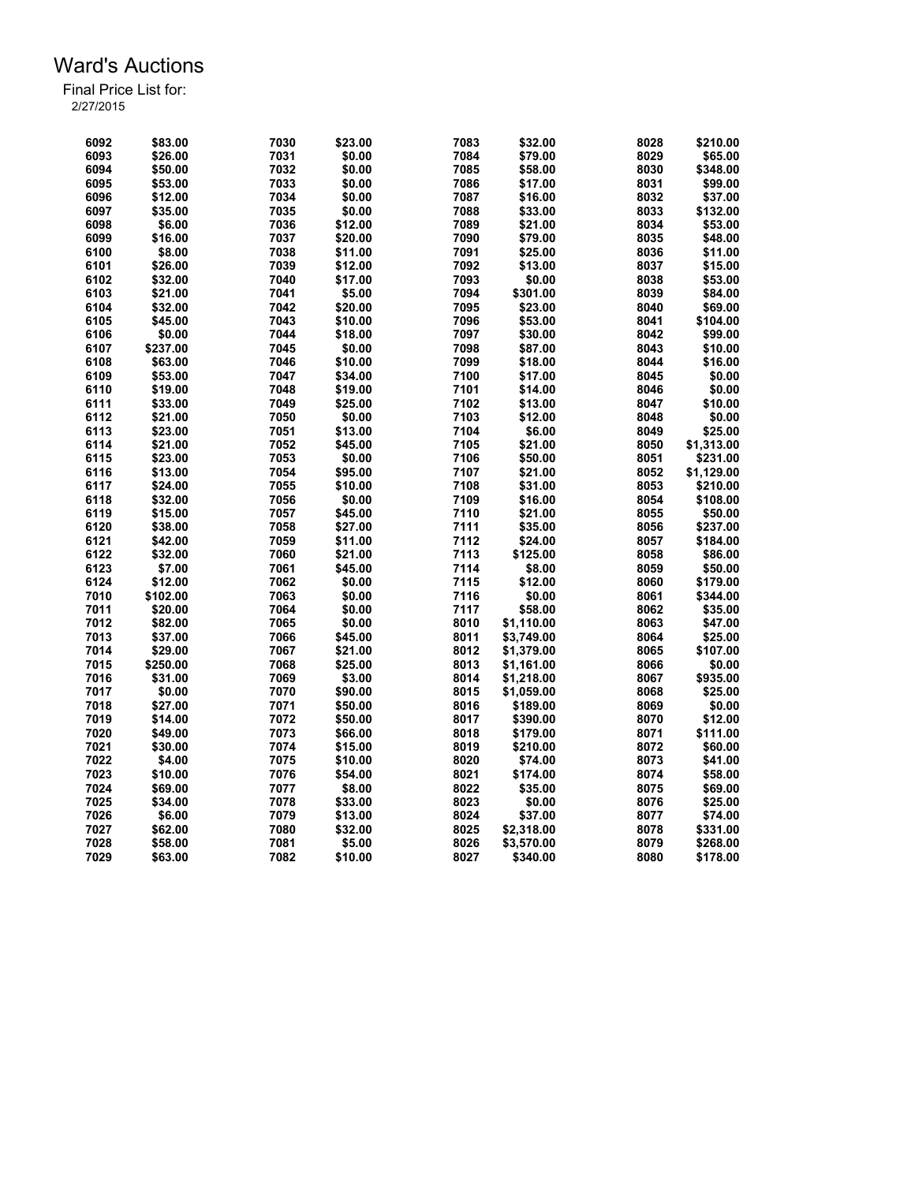| 6092 | \$83.00  | 7030 | \$23.00 | 7083         | \$32.00    | 8028 | \$210.00   |
|------|----------|------|---------|--------------|------------|------|------------|
| 6093 | \$26.00  | 7031 | \$0.00  | 7084         | \$79.00    | 8029 | \$65.00    |
| 6094 | \$50.00  | 7032 | \$0.00  | 7085         | \$58.00    | 8030 | \$348.00   |
| 6095 | \$53.00  | 7033 | \$0.00  | 7086         | \$17.00    | 8031 | \$99.00    |
| 6096 | \$12.00  | 7034 | \$0.00  | 7087         | \$16.00    | 8032 | \$37.00    |
| 6097 | \$35.00  | 7035 | \$0.00  | 7088         | \$33.00    | 8033 | \$132.00   |
| 6098 | \$6.00   | 7036 | \$12.00 | 7089         | \$21.00    | 8034 | \$53.00    |
| 6099 | \$16.00  | 7037 | \$20.00 | 7090         | \$79.00    | 8035 | \$48.00    |
| 6100 | \$8.00   | 7038 | \$11.00 | 7091         | \$25.00    | 8036 | \$11.00    |
|      |          |      |         |              |            |      | \$15.00    |
| 6101 | \$26.00  | 7039 | \$12.00 | 7092<br>7093 | \$13.00    | 8037 |            |
| 6102 | \$32.00  | 7040 | \$17.00 |              | \$0.00     | 8038 | \$53.00    |
| 6103 | \$21.00  | 7041 | \$5.00  | 7094         | \$301.00   | 8039 | \$84.00    |
| 6104 | \$32.00  | 7042 | \$20.00 | 7095         | \$23.00    | 8040 | \$69.00    |
| 6105 | \$45.00  | 7043 | \$10.00 | 7096         | \$53.00    | 8041 | \$104.00   |
| 6106 | \$0.00   | 7044 | \$18.00 | 7097         | \$30.00    | 8042 | \$99.00    |
| 6107 | \$237.00 | 7045 | \$0.00  | 7098         | \$87.00    | 8043 | \$10.00    |
| 6108 | \$63.00  | 7046 | \$10.00 | 7099         | \$18.00    | 8044 | \$16.00    |
| 6109 | \$53.00  | 7047 | \$34.00 | 7100         | \$17.00    | 8045 | \$0.00     |
| 6110 | \$19.00  | 7048 | \$19.00 | 7101         | \$14.00    | 8046 | \$0.00     |
| 6111 | \$33.00  | 7049 | \$25.00 | 7102         | \$13.00    | 8047 | \$10.00    |
| 6112 | \$21.00  | 7050 | \$0.00  | 7103         | \$12.00    | 8048 | \$0.00     |
| 6113 | \$23.00  | 7051 | \$13.00 | 7104         | \$6.00     | 8049 | \$25.00    |
| 6114 | \$21.00  | 7052 | \$45.00 | 7105         | \$21.00    | 8050 | \$1,313.00 |
| 6115 | \$23.00  | 7053 | \$0.00  | 7106         | \$50.00    | 8051 | \$231.00   |
| 6116 | \$13.00  | 7054 | \$95.00 | 7107         | \$21.00    | 8052 | \$1,129.00 |
| 6117 | \$24.00  | 7055 | \$10.00 | 7108         | \$31.00    | 8053 | \$210.00   |
| 6118 | \$32.00  | 7056 | \$0.00  | 7109         | \$16.00    | 8054 | \$108.00   |
| 6119 | \$15.00  | 7057 | \$45.00 | 7110         | \$21.00    | 8055 | \$50.00    |
| 6120 | \$38.00  | 7058 | \$27.00 | 7111         | \$35.00    | 8056 | \$237.00   |
| 6121 | \$42.00  | 7059 | \$11.00 | 7112         | \$24.00    | 8057 | \$184.00   |
| 6122 | \$32.00  | 7060 | \$21.00 | 7113         | \$125.00   | 8058 | \$86.00    |
| 6123 | \$7.00   | 7061 | \$45.00 | 7114         | \$8.00     | 8059 | \$50.00    |
| 6124 | \$12.00  | 7062 | \$0.00  | 7115         | \$12.00    | 8060 | \$179.00   |
|      | \$102.00 | 7063 |         | 7116         |            |      |            |
| 7010 |          |      | \$0.00  |              | \$0.00     | 8061 | \$344.00   |
| 7011 | \$20.00  | 7064 | \$0.00  | 7117         | \$58.00    | 8062 | \$35.00    |
| 7012 | \$82.00  | 7065 | \$0.00  | 8010         | \$1,110.00 | 8063 | \$47.00    |
| 7013 | \$37.00  | 7066 | \$45.00 | 8011         | \$3,749.00 | 8064 | \$25.00    |
| 7014 | \$29.00  | 7067 | \$21.00 | 8012         | \$1,379.00 | 8065 | \$107.00   |
| 7015 | \$250.00 | 7068 | \$25.00 | 8013         | \$1,161.00 | 8066 | \$0.00     |
| 7016 | \$31.00  | 7069 | \$3.00  | 8014         | \$1,218.00 | 8067 | \$935.00   |
| 7017 | \$0.00   | 7070 | \$90.00 | 8015         | \$1,059.00 | 8068 | \$25.00    |
| 7018 | \$27.00  | 7071 | \$50.00 | 8016         | \$189.00   | 8069 | \$0.00     |
| 7019 | \$14.00  | 7072 | \$50.00 | 8017         | \$390.00   | 8070 | \$12.00    |
| 7020 | \$49.00  | 7073 | \$66.00 | 8018         | \$179.00   | 8071 | \$111.00   |
| 7021 | \$30.00  | 7074 | \$15.00 | 8019         | \$210.00   | 8072 | \$60.00    |
| 7022 | \$4.00   | 7075 | \$10.00 | 8020         | \$74.00    | 8073 | \$41.00    |
| 7023 | \$10.00  | 7076 | \$54.00 | 8021         | \$174.00   | 8074 | \$58.00    |
| 7024 | \$69.00  | 7077 | \$8.00  | 8022         | \$35.00    | 8075 | \$69.00    |
| 7025 | \$34.00  | 7078 | \$33.00 | 8023         | \$0.00     | 8076 | \$25.00    |
| 7026 | \$6.00   | 7079 | \$13.00 | 8024         | \$37.00    | 8077 | \$74.00    |
| 7027 | \$62.00  | 7080 | \$32.00 | 8025         | \$2,318.00 | 8078 | \$331.00   |
| 7028 | \$58.00  | 7081 | \$5.00  | 8026         | \$3,570.00 | 8079 | \$268.00   |
| 7029 | \$63.00  | 7082 | \$10.00 | 8027         | \$340.00   | 8080 | \$178.00   |
|      |          |      |         |              |            |      |            |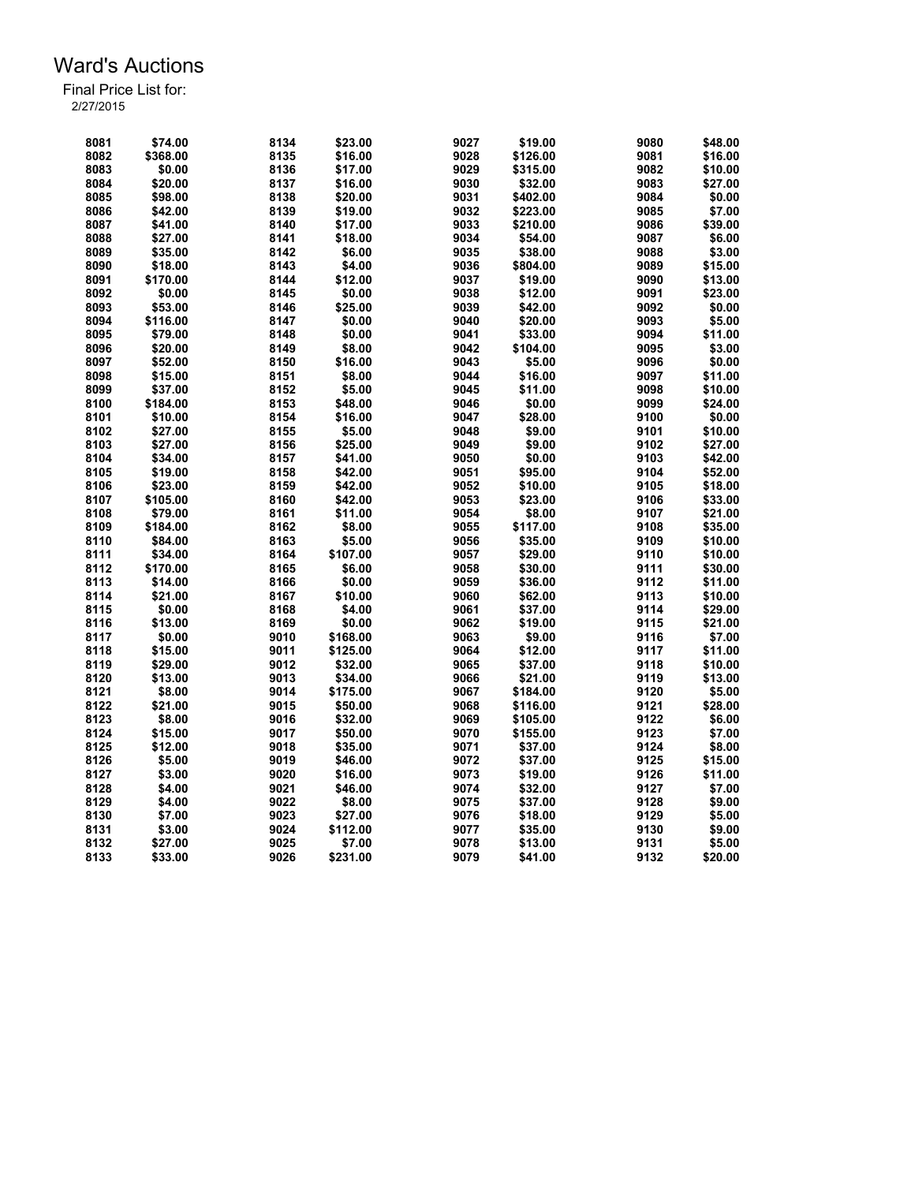| 8081 | \$74.00  | 8134 | \$23.00  | 9027 | \$19.00  | 9080 | \$48.00 |
|------|----------|------|----------|------|----------|------|---------|
| 8082 | \$368.00 | 8135 | \$16.00  | 9028 | \$126.00 | 9081 | \$16.00 |
| 8083 | \$0.00   | 8136 | \$17.00  | 9029 | \$315.00 | 9082 | \$10.00 |
| 8084 | \$20.00  | 8137 | \$16.00  | 9030 | \$32.00  | 9083 | \$27.00 |
| 8085 | \$98.00  | 8138 | \$20.00  | 9031 | \$402.00 | 9084 | \$0.00  |
| 8086 | \$42.00  | 8139 | \$19.00  | 9032 | \$223.00 | 9085 | \$7.00  |
| 8087 | \$41.00  | 8140 | \$17.00  | 9033 | \$210.00 | 9086 | \$39.00 |
| 8088 | \$27.00  | 8141 | \$18.00  | 9034 | \$54.00  | 9087 | \$6.00  |
| 8089 | \$35.00  | 8142 | \$6.00   | 9035 | \$38.00  | 9088 | \$3.00  |
| 8090 | \$18.00  | 8143 | \$4.00   | 9036 | \$804.00 | 9089 | \$15.00 |
| 8091 | \$170.00 | 8144 | \$12.00  | 9037 | \$19.00  | 9090 | \$13.00 |
| 8092 | \$0.00   | 8145 | \$0.00   | 9038 | \$12.00  | 9091 | \$23.00 |
| 8093 | \$53.00  | 8146 | \$25.00  | 9039 | \$42.00  | 9092 | \$0.00  |
| 8094 | \$116.00 | 8147 | \$0.00   | 9040 | \$20.00  | 9093 | \$5.00  |
| 8095 | \$79.00  | 8148 | \$0.00   | 9041 | \$33.00  | 9094 | \$11.00 |
| 8096 | \$20.00  | 8149 | \$8.00   | 9042 | \$104.00 | 9095 | \$3.00  |
| 8097 | \$52.00  | 8150 | \$16.00  | 9043 | \$5.00   | 9096 | \$0.00  |
| 8098 | \$15.00  | 8151 | \$8.00   | 9044 | \$16.00  | 9097 | \$11.00 |
| 8099 | \$37.00  | 8152 | \$5.00   | 9045 | \$11.00  | 9098 | \$10.00 |
| 8100 |          |      |          | 9046 | \$0.00   | 9099 | \$24.00 |
|      | \$184.00 | 8153 | \$48.00  |      |          |      |         |
| 8101 | \$10.00  | 8154 | \$16.00  | 9047 | \$28.00  | 9100 | \$0.00  |
| 8102 | \$27.00  | 8155 | \$5.00   | 9048 | \$9.00   | 9101 | \$10.00 |
| 8103 | \$27.00  | 8156 | \$25.00  | 9049 | \$9.00   | 9102 | \$27.00 |
| 8104 | \$34.00  | 8157 | \$41.00  | 9050 | \$0.00   | 9103 | \$42.00 |
| 8105 | \$19.00  | 8158 | \$42.00  | 9051 | \$95.00  | 9104 | \$52.00 |
| 8106 | \$23.00  | 8159 | \$42.00  | 9052 | \$10.00  | 9105 | \$18.00 |
| 8107 | \$105.00 | 8160 | \$42.00  | 9053 | \$23.00  | 9106 | \$33.00 |
| 8108 | \$79.00  | 8161 | \$11.00  | 9054 | \$8.00   | 9107 | \$21.00 |
| 8109 | \$184.00 | 8162 | \$8.00   | 9055 | \$117.00 | 9108 | \$35.00 |
| 8110 | \$84.00  | 8163 | \$5.00   | 9056 | \$35.00  | 9109 | \$10.00 |
| 8111 | \$34.00  | 8164 | \$107.00 | 9057 | \$29.00  | 9110 | \$10.00 |
| 8112 | \$170.00 | 8165 | \$6.00   | 9058 | \$30.00  | 9111 | \$30.00 |
| 8113 | \$14.00  | 8166 | \$0.00   | 9059 | \$36.00  | 9112 | \$11.00 |
| 8114 | \$21.00  | 8167 | \$10.00  | 9060 | \$62.00  | 9113 | \$10.00 |
| 8115 | \$0.00   | 8168 | \$4.00   | 9061 | \$37.00  | 9114 | \$29.00 |
| 8116 | \$13.00  | 8169 | \$0.00   | 9062 | \$19.00  | 9115 | \$21.00 |
| 8117 | \$0.00   | 9010 | \$168.00 | 9063 | \$9.00   | 9116 | \$7.00  |
| 8118 | \$15.00  | 9011 | \$125.00 | 9064 | \$12.00  | 9117 | \$11.00 |
| 8119 | \$29.00  | 9012 | \$32.00  | 9065 | \$37.00  | 9118 | \$10.00 |
| 8120 | \$13.00  | 9013 | \$34.00  | 9066 | \$21.00  | 9119 | \$13.00 |
| 8121 | \$8.00   | 9014 | \$175.00 | 9067 | \$184.00 | 9120 | \$5.00  |
| 8122 | \$21.00  | 9015 | \$50.00  | 9068 | \$116.00 | 9121 | \$28.00 |
| 8123 | \$8.00   | 9016 | \$32.00  | 9069 | \$105.00 | 9122 | \$6.00  |
| 8124 | \$15.00  | 9017 | \$50.00  | 9070 | \$155.00 | 9123 | \$7.00  |
| 8125 | \$12.00  | 9018 | \$35.00  | 9071 | \$37.00  | 9124 | \$8.00  |
| 8126 | \$5.00   | 9019 | \$46.00  | 9072 | \$37.00  | 9125 | \$15.00 |
| 8127 | \$3.00   | 9020 | \$16.00  | 9073 | \$19.00  | 9126 | \$11.00 |
| 8128 | \$4.00   | 9021 | \$46.00  | 9074 | \$32.00  | 9127 | \$7.00  |
| 8129 | \$4.00   | 9022 | \$8.00   | 9075 | \$37.00  | 9128 | \$9.00  |
| 8130 | \$7.00   | 9023 | \$27.00  | 9076 | \$18.00  | 9129 | \$5.00  |
|      |          |      | \$112.00 | 9077 |          | 9130 |         |
| 8131 | \$3.00   | 9024 |          |      | \$35.00  |      | \$9.00  |
| 8132 | \$27.00  | 9025 | \$7.00   | 9078 | \$13.00  | 9131 | \$5.00  |
| 8133 | \$33.00  | 9026 | \$231.00 | 9079 | \$41.00  | 9132 | \$20.00 |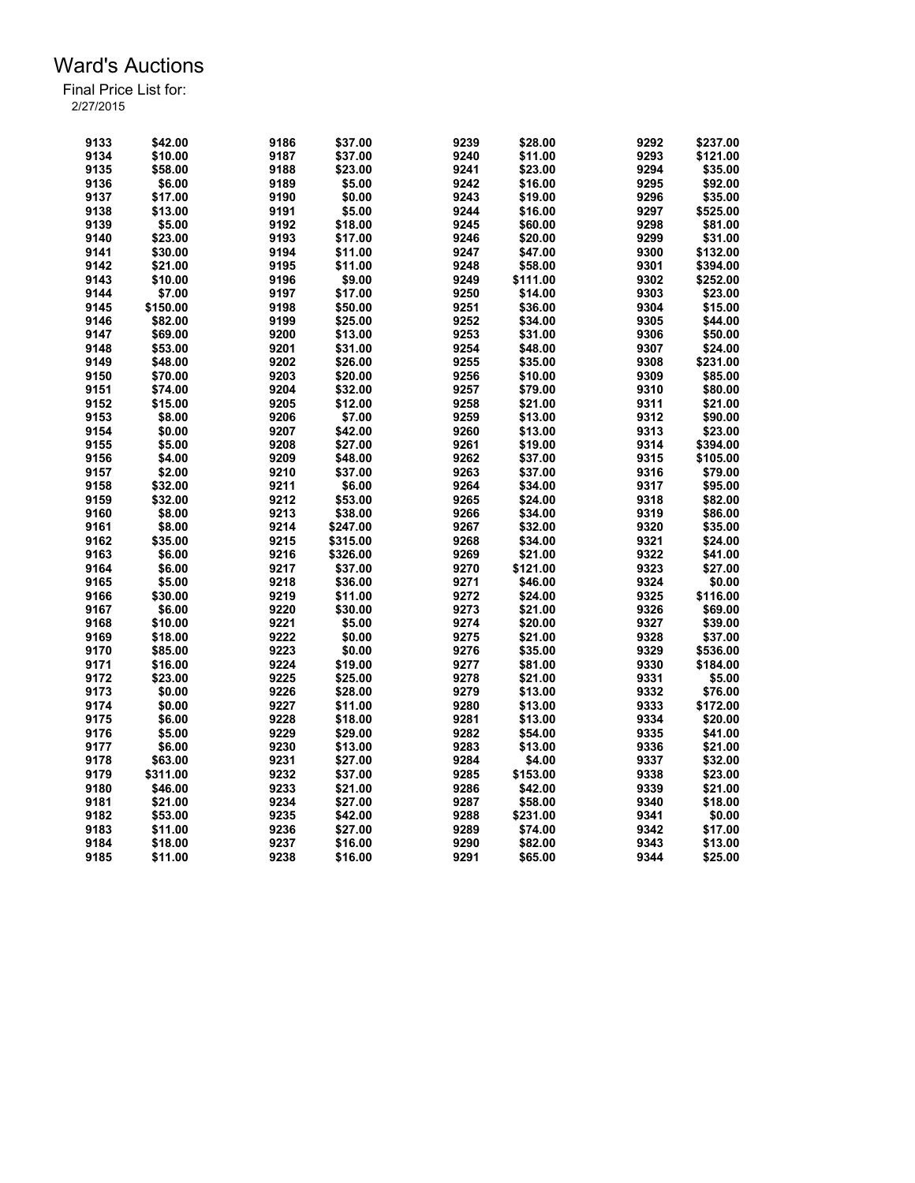| 9133 | \$42.00  | 9186 | \$37.00  | 9239 | \$28.00  | 9292 | \$237.00 |
|------|----------|------|----------|------|----------|------|----------|
| 9134 | \$10.00  | 9187 | \$37.00  | 9240 | \$11.00  | 9293 | \$121.00 |
| 9135 | \$58.00  | 9188 | \$23.00  | 9241 | \$23.00  | 9294 | \$35.00  |
| 9136 | \$6.00   | 9189 | \$5.00   | 9242 | \$16.00  | 9295 | \$92.00  |
| 9137 | \$17.00  | 9190 | \$0.00   | 9243 | \$19.00  | 9296 | \$35.00  |
| 9138 | \$13.00  | 9191 | \$5.00   | 9244 | \$16.00  | 9297 | \$525.00 |
| 9139 | \$5.00   | 9192 | \$18.00  | 9245 | \$60.00  | 9298 | \$81.00  |
| 9140 | \$23.00  | 9193 | \$17.00  | 9246 | \$20.00  | 9299 | \$31.00  |
| 9141 | \$30.00  | 9194 | \$11.00  | 9247 | \$47.00  | 9300 | \$132.00 |
| 9142 | \$21.00  | 9195 | \$11.00  | 9248 | \$58.00  | 9301 | \$394.00 |
| 9143 | \$10.00  | 9196 | \$9.00   | 9249 | \$111.00 | 9302 | \$252.00 |
| 9144 | \$7.00   | 9197 | \$17.00  | 9250 | \$14.00  | 9303 | \$23.00  |
| 9145 | \$150.00 | 9198 | \$50.00  | 9251 | \$36.00  | 9304 | \$15.00  |
| 9146 | \$82.00  | 9199 | \$25.00  | 9252 | \$34.00  | 9305 | \$44.00  |
| 9147 | \$69.00  | 9200 | \$13.00  | 9253 | \$31.00  | 9306 | \$50.00  |
| 9148 | \$53.00  | 9201 | \$31.00  | 9254 | \$48.00  | 9307 | \$24.00  |
| 9149 | \$48.00  | 9202 | \$26.00  | 9255 | \$35.00  | 9308 | \$231.00 |
| 9150 | \$70.00  | 9203 | \$20.00  | 9256 | \$10.00  | 9309 | \$85.00  |
|      |          |      |          |      |          |      |          |
| 9151 | \$74.00  | 9204 | \$32.00  | 9257 | \$79.00  | 9310 | \$80.00  |
| 9152 | \$15.00  | 9205 | \$12.00  | 9258 | \$21.00  | 9311 | \$21.00  |
| 9153 | \$8.00   | 9206 | \$7.00   | 9259 | \$13.00  | 9312 | \$90.00  |
| 9154 | \$0.00   | 9207 | \$42.00  | 9260 | \$13.00  | 9313 | \$23.00  |
| 9155 | \$5.00   | 9208 | \$27.00  | 9261 | \$19.00  | 9314 | \$394.00 |
| 9156 | \$4.00   | 9209 | \$48.00  | 9262 | \$37.00  | 9315 | \$105.00 |
| 9157 | \$2.00   | 9210 | \$37.00  | 9263 | \$37.00  | 9316 | \$79.00  |
| 9158 | \$32.00  | 9211 | \$6.00   | 9264 | \$34.00  | 9317 | \$95.00  |
| 9159 | \$32.00  | 9212 | \$53.00  | 9265 | \$24.00  | 9318 | \$82.00  |
| 9160 | \$8.00   | 9213 | \$38.00  | 9266 | \$34.00  | 9319 | \$86.00  |
| 9161 | \$8.00   | 9214 | \$247.00 | 9267 | \$32.00  | 9320 | \$35.00  |
| 9162 | \$35.00  | 9215 | \$315.00 | 9268 | \$34.00  | 9321 | \$24.00  |
| 9163 | \$6.00   | 9216 | \$326.00 | 9269 | \$21.00  | 9322 | \$41.00  |
| 9164 | \$6.00   | 9217 | \$37.00  | 9270 | \$121.00 | 9323 | \$27.00  |
| 9165 | \$5.00   | 9218 | \$36.00  | 9271 | \$46.00  | 9324 | \$0.00   |
| 9166 | \$30.00  | 9219 | \$11.00  | 9272 | \$24.00  | 9325 | \$116.00 |
| 9167 | \$6.00   | 9220 | \$30.00  | 9273 | \$21.00  | 9326 | \$69.00  |
| 9168 | \$10.00  | 9221 | \$5.00   | 9274 | \$20.00  | 9327 | \$39.00  |
| 9169 | \$18.00  | 9222 | \$0.00   | 9275 | \$21.00  | 9328 | \$37.00  |
| 9170 | \$85.00  | 9223 | \$0.00   | 9276 | \$35.00  | 9329 | \$536.00 |
| 9171 | \$16.00  | 9224 | \$19.00  | 9277 | \$81.00  | 9330 | \$184.00 |
| 9172 | \$23.00  | 9225 | \$25.00  | 9278 | \$21.00  | 9331 | \$5.00   |
| 9173 | \$0.00   | 9226 | \$28.00  | 9279 | \$13.00  | 9332 | \$76.00  |
| 9174 | \$0.00   | 9227 | \$11.00  | 9280 | \$13.00  | 9333 | \$172.00 |
| 9175 | \$6.00   | 9228 | \$18.00  | 9281 | \$13.00  | 9334 | \$20.00  |
| 9176 | \$5.00   | 9229 | \$29.00  | 9282 | \$54.00  | 9335 | \$41.00  |
| 9177 | \$6.00   | 9230 | \$13.00  | 9283 | \$13.00  | 9336 | \$21.00  |
|      |          |      |          |      |          |      |          |
| 9178 | \$63.00  | 9231 | \$27.00  | 9284 | \$4.00   | 9337 | \$32.00  |
| 9179 | \$311.00 | 9232 | \$37.00  | 9285 | \$153.00 | 9338 | \$23.00  |
| 9180 | \$46.00  | 9233 | \$21.00  | 9286 | \$42.00  | 9339 | \$21.00  |
| 9181 | \$21.00  | 9234 | \$27.00  | 9287 | \$58.00  | 9340 | \$18.00  |
| 9182 | \$53.00  | 9235 | \$42.00  | 9288 | \$231.00 | 9341 | \$0.00   |
| 9183 | \$11.00  | 9236 | \$27.00  | 9289 | \$74.00  | 9342 | \$17.00  |
| 9184 | \$18.00  | 9237 | \$16.00  | 9290 | \$82.00  | 9343 | \$13.00  |
| 9185 | \$11.00  | 9238 | \$16.00  | 9291 | \$65.00  | 9344 | \$25.00  |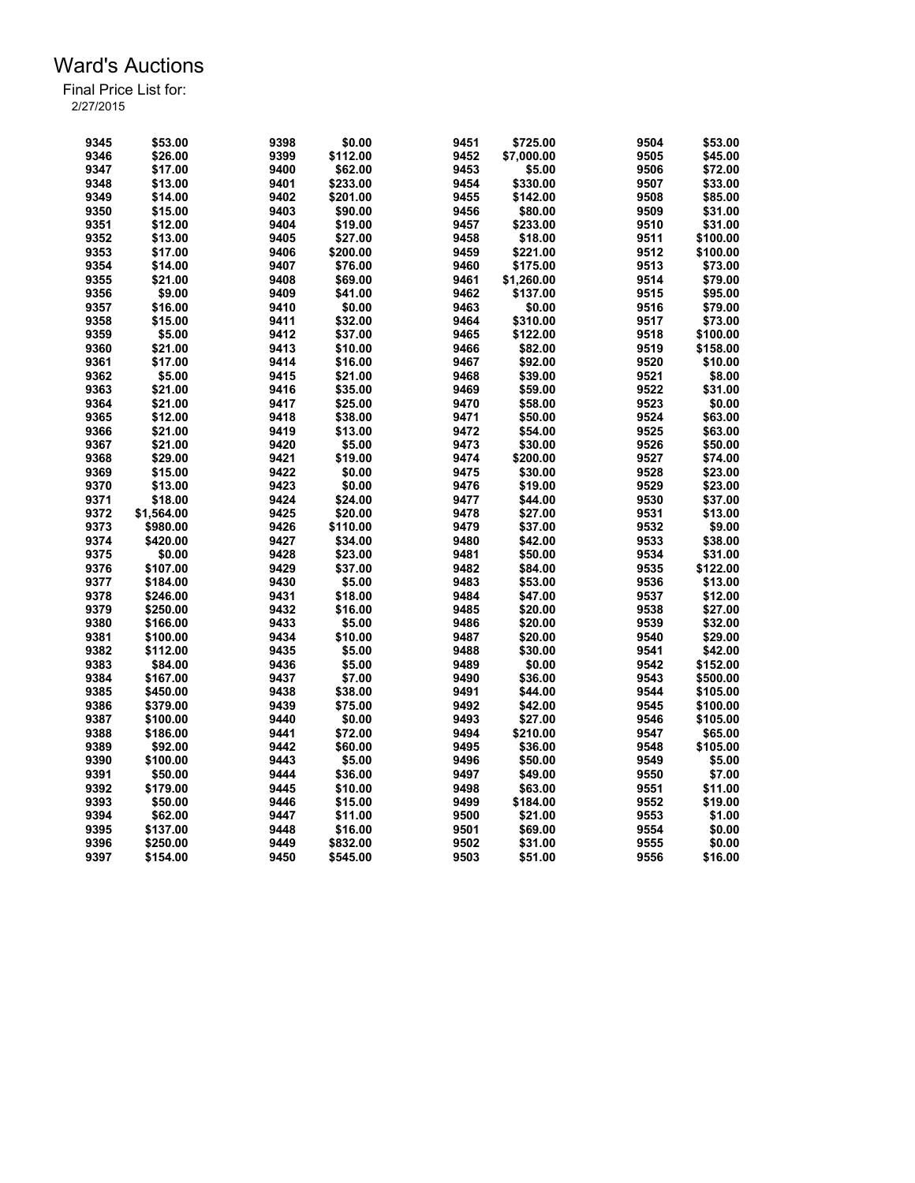| 9345 | \$53.00    | 9398 | \$0.00   | 9451 | \$725.00   | 9504 | \$53.00  |
|------|------------|------|----------|------|------------|------|----------|
|      |            |      |          |      |            |      |          |
| 9346 | \$26.00    | 9399 | \$112.00 | 9452 | \$7,000.00 | 9505 | \$45.00  |
| 9347 | \$17.00    | 9400 | \$62.00  | 9453 | \$5.00     | 9506 | \$72.00  |
| 9348 | \$13.00    | 9401 | \$233.00 | 9454 | \$330.00   | 9507 | \$33.00  |
| 9349 | \$14.00    | 9402 | \$201.00 | 9455 | \$142.00   | 9508 | \$85.00  |
| 9350 | \$15.00    | 9403 | \$90.00  | 9456 | \$80.00    | 9509 | \$31.00  |
| 9351 | \$12.00    | 9404 | \$19.00  | 9457 | \$233.00   | 9510 | \$31.00  |
| 9352 | \$13.00    | 9405 | \$27.00  | 9458 | \$18.00    | 9511 | \$100.00 |
| 9353 | \$17.00    | 9406 | \$200.00 | 9459 | \$221.00   | 9512 | \$100.00 |
| 9354 | \$14.00    | 9407 | \$76.00  | 9460 | \$175.00   | 9513 | \$73.00  |
| 9355 | \$21.00    | 9408 | \$69.00  | 9461 | \$1,260.00 | 9514 | \$79.00  |
| 9356 | \$9.00     | 9409 | \$41.00  | 9462 | \$137.00   | 9515 | \$95.00  |
| 9357 | \$16.00    | 9410 | \$0.00   | 9463 | \$0.00     | 9516 | \$79.00  |
| 9358 | \$15.00    | 9411 | \$32.00  | 9464 | \$310.00   | 9517 | \$73.00  |
| 9359 | \$5.00     | 9412 | \$37.00  | 9465 | \$122.00   | 9518 | \$100.00 |
| 9360 | \$21.00    | 9413 | \$10.00  | 9466 | \$82.00    | 9519 | \$158.00 |
| 9361 | \$17.00    | 9414 | \$16.00  | 9467 | \$92.00    | 9520 | \$10.00  |
| 9362 | \$5.00     | 9415 | \$21.00  | 9468 | \$39.00    | 9521 | \$8.00   |
| 9363 | \$21.00    | 9416 | \$35.00  | 9469 | \$59.00    | 9522 | \$31.00  |
| 9364 | \$21.00    | 9417 | \$25.00  | 9470 | \$58.00    | 9523 | \$0.00   |
| 9365 | \$12.00    | 9418 | \$38.00  | 9471 | \$50.00    | 9524 | \$63.00  |
| 9366 | \$21.00    | 9419 | \$13.00  |      |            | 9525 | \$63.00  |
|      |            |      |          | 9472 | \$54.00    |      |          |
| 9367 | \$21.00    | 9420 | \$5.00   | 9473 | \$30.00    | 9526 | \$50.00  |
| 9368 | \$29.00    | 9421 | \$19.00  | 9474 | \$200.00   | 9527 | \$74.00  |
| 9369 | \$15.00    | 9422 | \$0.00   | 9475 | \$30.00    | 9528 | \$23.00  |
| 9370 | \$13.00    | 9423 | \$0.00   | 9476 | \$19.00    | 9529 | \$23.00  |
| 9371 | \$18.00    | 9424 | \$24.00  | 9477 | \$44.00    | 9530 | \$37.00  |
| 9372 | \$1,564.00 | 9425 | \$20.00  | 9478 | \$27.00    | 9531 | \$13.00  |
| 9373 | \$980.00   | 9426 | \$110.00 | 9479 | \$37.00    | 9532 | \$9.00   |
| 9374 | \$420.00   | 9427 | \$34.00  | 9480 | \$42.00    | 9533 | \$38.00  |
| 9375 | \$0.00     | 9428 | \$23.00  | 9481 | \$50.00    | 9534 | \$31.00  |
| 9376 | \$107.00   | 9429 | \$37.00  | 9482 | \$84.00    | 9535 | \$122.00 |
| 9377 | \$184.00   | 9430 | \$5.00   | 9483 | \$53.00    | 9536 | \$13.00  |
| 9378 | \$246.00   | 9431 | \$18.00  | 9484 | \$47.00    | 9537 | \$12.00  |
| 9379 | \$250.00   | 9432 | \$16.00  | 9485 | \$20.00    | 9538 | \$27.00  |
| 9380 | \$166.00   | 9433 | \$5.00   | 9486 | \$20.00    | 9539 | \$32.00  |
| 9381 | \$100.00   | 9434 | \$10.00  | 9487 | \$20.00    | 9540 | \$29.00  |
| 9382 | \$112.00   | 9435 | \$5.00   | 9488 | \$30.00    | 9541 | \$42.00  |
| 9383 | \$84.00    | 9436 | \$5.00   | 9489 | \$0.00     | 9542 | \$152.00 |
| 9384 | \$167.00   | 9437 | \$7.00   | 9490 | \$36.00    | 9543 | \$500.00 |
| 9385 | \$450.00   | 9438 | \$38.00  | 9491 | \$44.00    | 9544 | \$105.00 |
| 9386 | \$379.00   | 9439 | \$75.00  | 9492 | \$42.00    | 9545 | \$100.00 |
| 9387 | \$100.00   | 9440 | \$0.00   | 9493 | \$27.00    | 9546 | \$105.00 |
| 9388 | \$186.00   | 9441 | \$72.00  | 9494 | \$210.00   | 9547 | \$65.00  |
| 9389 |            | 9442 | \$60.00  | 9495 |            | 9548 |          |
|      | \$92.00    |      |          |      | \$36.00    |      | \$105.00 |
| 9390 | \$100.00   | 9443 | \$5.00   | 9496 | \$50.00    | 9549 | \$5.00   |
| 9391 | \$50.00    | 9444 | \$36.00  | 9497 | \$49.00    | 9550 | \$7.00   |
| 9392 | \$179.00   | 9445 | \$10.00  | 9498 | \$63.00    | 9551 | \$11.00  |
| 9393 | \$50.00    | 9446 | \$15.00  | 9499 | \$184.00   | 9552 | \$19.00  |
| 9394 | \$62.00    | 9447 | \$11.00  | 9500 | \$21.00    | 9553 | \$1.00   |
| 9395 | \$137.00   | 9448 | \$16.00  | 9501 | \$69.00    | 9554 | \$0.00   |
| 9396 | \$250.00   | 9449 | \$832.00 | 9502 | \$31.00    | 9555 | \$0.00   |
| 9397 | \$154.00   | 9450 | \$545.00 | 9503 | \$51.00    | 9556 | \$16.00  |